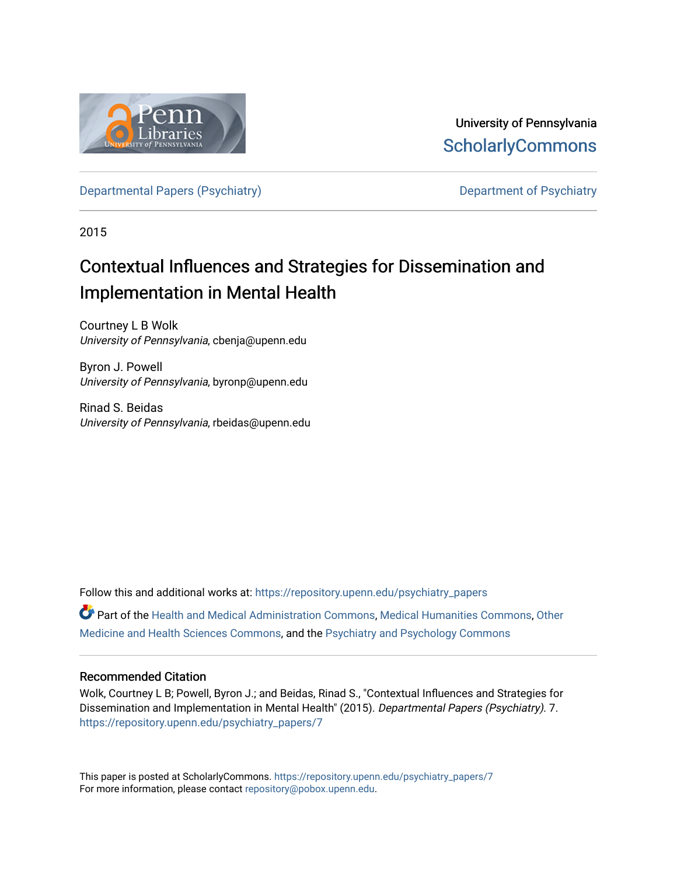

University of Pennsylvania **ScholarlyCommons** 

[Departmental Papers \(Psychiatry\)](https://repository.upenn.edu/psychiatry_papers) [Department of Psychiatry](https://repository.upenn.edu/psychiatry) Department of Psychiatry

2015

# Contextual Influences and Strategies for Dissemination and Implementation in Mental Health

Courtney L B Wolk University of Pennsylvania, cbenja@upenn.edu

Byron J. Powell University of Pennsylvania, byronp@upenn.edu

Rinad S. Beidas University of Pennsylvania, rbeidas@upenn.edu

Follow this and additional works at: [https://repository.upenn.edu/psychiatry\\_papers](https://repository.upenn.edu/psychiatry_papers?utm_source=repository.upenn.edu%2Fpsychiatry_papers%2F7&utm_medium=PDF&utm_campaign=PDFCoverPages) Part of the [Health and Medical Administration Commons](http://network.bepress.com/hgg/discipline/663?utm_source=repository.upenn.edu%2Fpsychiatry_papers%2F7&utm_medium=PDF&utm_campaign=PDFCoverPages), [Medical Humanities Commons](http://network.bepress.com/hgg/discipline/1303?utm_source=repository.upenn.edu%2Fpsychiatry_papers%2F7&utm_medium=PDF&utm_campaign=PDFCoverPages), [Other](http://network.bepress.com/hgg/discipline/772?utm_source=repository.upenn.edu%2Fpsychiatry_papers%2F7&utm_medium=PDF&utm_campaign=PDFCoverPages)  [Medicine and Health Sciences Commons](http://network.bepress.com/hgg/discipline/772?utm_source=repository.upenn.edu%2Fpsychiatry_papers%2F7&utm_medium=PDF&utm_campaign=PDFCoverPages), and the [Psychiatry and Psychology Commons](http://network.bepress.com/hgg/discipline/908?utm_source=repository.upenn.edu%2Fpsychiatry_papers%2F7&utm_medium=PDF&utm_campaign=PDFCoverPages) 

#### Recommended Citation

Wolk, Courtney L B; Powell, Byron J.; and Beidas, Rinad S., "Contextual Influences and Strategies for Dissemination and Implementation in Mental Health" (2015). Departmental Papers (Psychiatry). 7. [https://repository.upenn.edu/psychiatry\\_papers/7](https://repository.upenn.edu/psychiatry_papers/7?utm_source=repository.upenn.edu%2Fpsychiatry_papers%2F7&utm_medium=PDF&utm_campaign=PDFCoverPages) 

This paper is posted at ScholarlyCommons. [https://repository.upenn.edu/psychiatry\\_papers/7](https://repository.upenn.edu/psychiatry_papers/7) For more information, please contact [repository@pobox.upenn.edu.](mailto:repository@pobox.upenn.edu)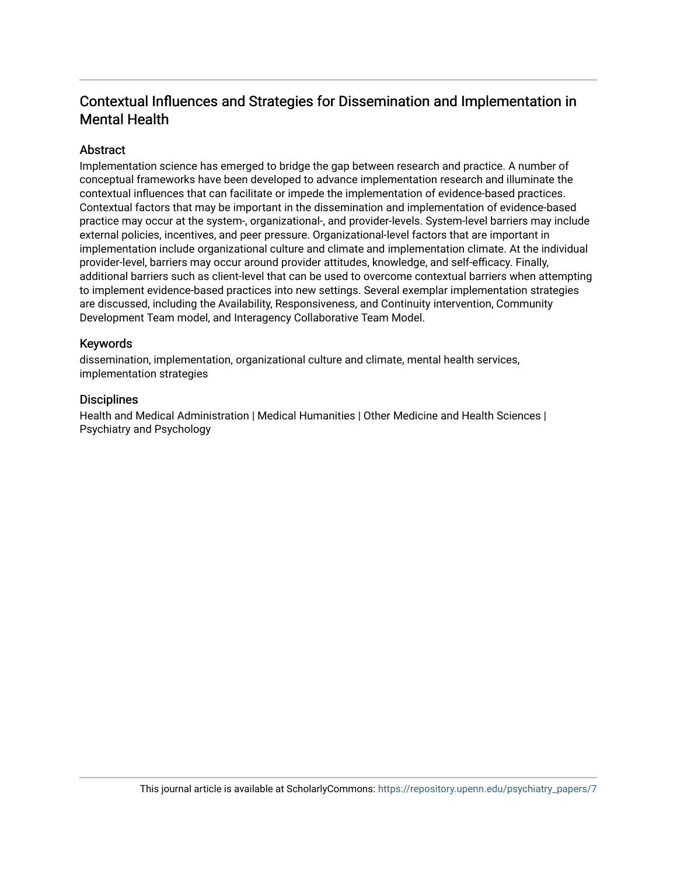### **Abstract**

Implementation science has emerged to bridge the gap between research and practice. A number of conceptual frameworks have been developed to advance implementation research and illuminate the contextual influences that can facilitate or impede the implementation of evidence-based practices. Contextual factors that may be important in the dissemination and implementation of evidence-based practice may occur at the system-, organizational-, and provider-levels. System-level barriers may include external policies, incentives, and peer pressure. Organizational-level factors that are important in implementation include organizational culture and climate and implementation climate. At the individual provider-level, barriers may occur around provider attitudes, knowledge, and self-efficacy. Finally, additional barriers such as client-level that can be used to overcome contextual barriers when attempting to implement evidence-based practices into new settings. Several exemplar implementation strategies are discussed, including the Availability, Responsiveness, and Continuity intervention, Community Development Team model, and Interagency Collaborative Team Model.

#### Keywords

dissemination, implementation, organizational culture and climate, mental health services, implementation strategies

#### **Disciplines**

Health and Medical Administration | Medical Humanities | Other Medicine and Health Sciences | Psychiatry and Psychology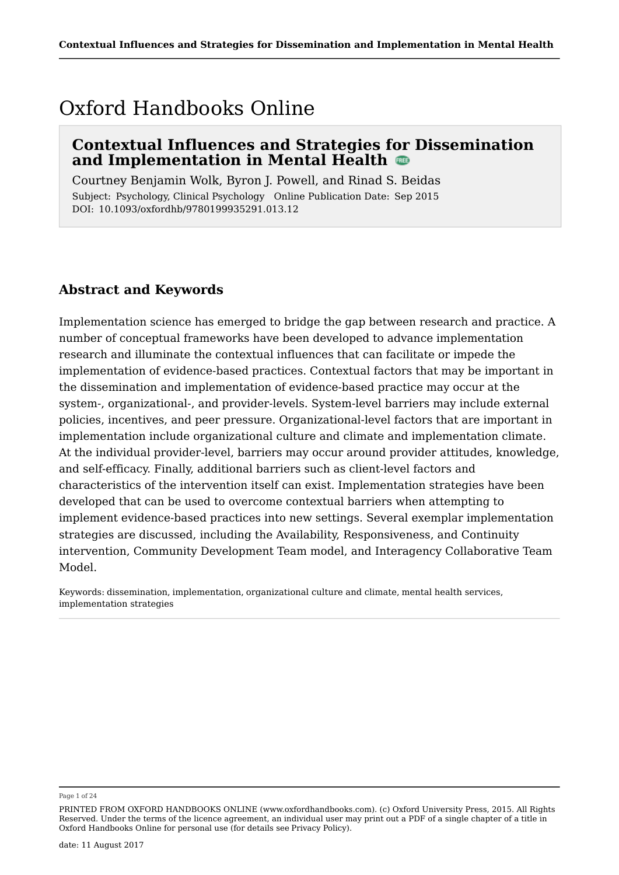# Oxford Handbooks Online

# **Contextual Influences and Strategies for Dissemination and Implementation in Mental Health**

Courtney Benjamin Wolk, Byron J. Powell, and Rinad S. Beidas Subject: Psychology, Clinical Psychology Online Publication Date: Sep 2015 DOI: 10.1093/oxfordhb/9780199935291.013.12

# **Abstract and Keywords**

Implementation science has emerged to bridge the gap between research and practice. A number of conceptual frameworks have been developed to advance implementation research and illuminate the contextual influences that can facilitate or impede the implementation of evidence-based practices. Contextual factors that may be important in the dissemination and implementation of evidence-based practice may occur at the system-, organizational-, and provider-levels. System-level barriers may include external policies, incentives, and peer pressure. Organizational-level factors that are important in implementation include organizational culture and climate and implementation climate. At the individual provider-level, barriers may occur around provider attitudes, knowledge, and self-efficacy. Finally, additional barriers such as client-level factors and characteristics of the intervention itself can exist. Implementation strategies have been developed that can be used to overcome contextual barriers when attempting to implement evidence-based practices into new settings. Several exemplar implementation strategies are discussed, including the Availability, Responsiveness, and Continuity intervention, Community Development Team model, and Interagency Collaborative Team Model.

Keywords: dissemination, implementation, organizational culture and climate, mental health services, implementation strategies

Page 1 of 24

PRINTED FROM OXFORD HANDBOOKS ONLINE (www.oxfordhandbooks.com). (c) Oxford University Press, 2015. All Rights Reserved. Under the terms of the licence agreement, an individual user may print out a PDF of a single chapter of a title in Oxford Handbooks Online for personal use (for details see Privacy Policy).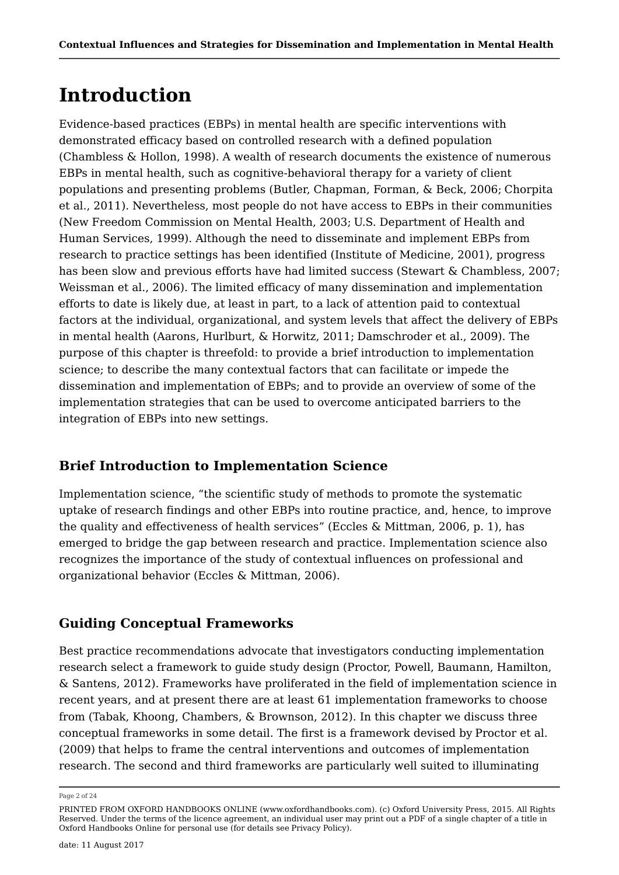# **Introduction**

Evidence-based practices (EBPs) in mental health are specific interventions with demonstrated efficacy based on controlled research with a defined population (Chambless & Hollon, 1998). A wealth of research documents the existence of numerous EBPs in mental health, such as cognitive-behavioral therapy for a variety of client populations and presenting problems (Butler, Chapman, Forman, & Beck, 2006; Chorpita et al., 2011). Nevertheless, most people do not have access to EBPs in their communities (New Freedom Commission on Mental Health, 2003; U.S. Department of Health and Human Services, 1999). Although the need to disseminate and implement EBPs from research to practice settings has been identified (Institute of Medicine, 2001), progress has been slow and previous efforts have had limited success (Stewart & Chambless, 2007; Weissman et al., 2006). The limited efficacy of many dissemination and implementation efforts to date is likely due, at least in part, to a lack of attention paid to contextual factors at the individual, organizational, and system levels that affect the delivery of EBPs in mental health (Aarons, Hurlburt, & Horwitz, 2011; Damschroder et al., 2009). The purpose of this chapter is threefold: to provide a brief introduction to implementation science; to describe the many contextual factors that can facilitate or impede the dissemination and implementation of EBPs; and to provide an overview of some of the implementation strategies that can be used to overcome anticipated barriers to the integration of EBPs into new settings.

# **Brief Introduction to Implementation Science**

Implementation science, "the scientific study of methods to promote the systematic uptake of research findings and other EBPs into routine practice, and, hence, to improve the quality and effectiveness of health services" (Eccles & Mittman, 2006, p. 1), has emerged to bridge the gap between research and practice. Implementation science also recognizes the importance of the study of contextual influences on professional and organizational behavior (Eccles & Mittman, 2006).

# **Guiding Conceptual Frameworks**

Best practice recommendations advocate that investigators conducting implementation research select a framework to guide study design (Proctor, Powell, Baumann, Hamilton, & Santens, 2012). Frameworks have proliferated in the field of implementation science in recent years, and at present there are at least 61 implementation frameworks to choose from (Tabak, Khoong, Chambers, & Brownson, 2012). In this chapter we discuss three conceptual frameworks in some detail. The first is a framework devised by Proctor et al. (2009) that helps to frame the central interventions and outcomes of implementation research. The second and third frameworks are particularly well suited to illuminating

Page 2 of 24

PRINTED FROM OXFORD HANDBOOKS ONLINE (www.oxfordhandbooks.com). (c) Oxford University Press, 2015. All Rights Reserved. Under the terms of the licence agreement, an individual user may print out a PDF of a single chapter of a title in Oxford Handbooks Online for personal use (for details see Privacy Policy).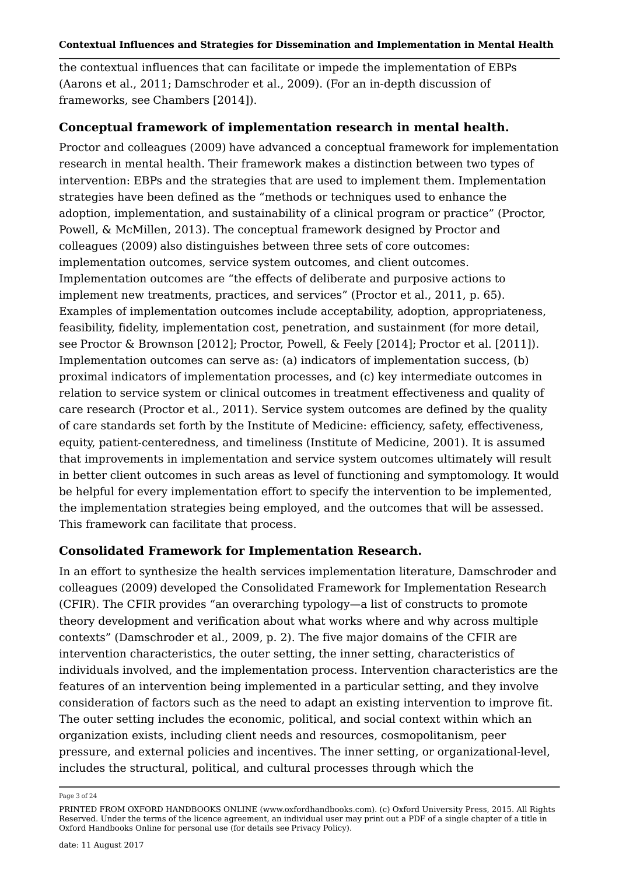the contextual influences that can facilitate or impede the implementation of EBPs (Aarons et al., 2011; Damschroder et al., 2009). (For an in-depth discussion of frameworks, see Chambers [2014]).

### **Conceptual framework of implementation research in mental health.**

Proctor and colleagues (2009) have advanced a conceptual framework for implementation research in mental health. Their framework makes a distinction between two types of intervention: EBPs and the strategies that are used to implement them. Implementation strategies have been defined as the "methods or techniques used to enhance the adoption, implementation, and sustainability of a clinical program or practice" (Proctor, Powell, & McMillen, 2013). The conceptual framework designed by Proctor and colleagues (2009) also distinguishes between three sets of core outcomes: implementation outcomes, service system outcomes, and client outcomes. Implementation outcomes are "the effects of deliberate and purposive actions to implement new treatments, practices, and services" (Proctor et al., 2011, p. 65). Examples of implementation outcomes include acceptability, adoption, appropriateness, feasibility, fidelity, implementation cost, penetration, and sustainment (for more detail, see Proctor & Brownson [2012]; Proctor, Powell, & Feely [2014]; Proctor et al. [2011]). Implementation outcomes can serve as: (a) indicators of implementation success, (b) proximal indicators of implementation processes, and (c) key intermediate outcomes in relation to service system or clinical outcomes in treatment effectiveness and quality of care research (Proctor et al., 2011). Service system outcomes are defined by the quality of care standards set forth by the Institute of Medicine: efficiency, safety, effectiveness, equity, patient-centeredness, and timeliness (Institute of Medicine, 2001). It is assumed that improvements in implementation and service system outcomes ultimately will result in better client outcomes in such areas as level of functioning and symptomology. It would be helpful for every implementation effort to specify the intervention to be implemented, the implementation strategies being employed, and the outcomes that will be assessed. This framework can facilitate that process.

### **Consolidated Framework for Implementation Research.**

In an effort to synthesize the health services implementation literature, Damschroder and colleagues (2009) developed the Consolidated Framework for Implementation Research (CFIR). The CFIR provides "an overarching typology—a list of constructs to promote theory development and verification about what works where and why across multiple contexts" (Damschroder et al., 2009, p. 2). The five major domains of the CFIR are intervention characteristics, the outer setting, the inner setting, characteristics of individuals involved, and the implementation process. Intervention characteristics are the features of an intervention being implemented in a particular setting, and they involve consideration of factors such as the need to adapt an existing intervention to improve fit. The outer setting includes the economic, political, and social context within which an organization exists, including client needs and resources, cosmopolitanism, peer pressure, and external policies and incentives. The inner setting, or organizational-level, includes the structural, political, and cultural processes through which the

Page 3 of 24

PRINTED FROM OXFORD HANDBOOKS ONLINE (www.oxfordhandbooks.com). (c) Oxford University Press, 2015. All Rights Reserved. Under the terms of the licence agreement, an individual user may print out a PDF of a single chapter of a title in Oxford Handbooks Online for personal use (for details see Privacy Policy).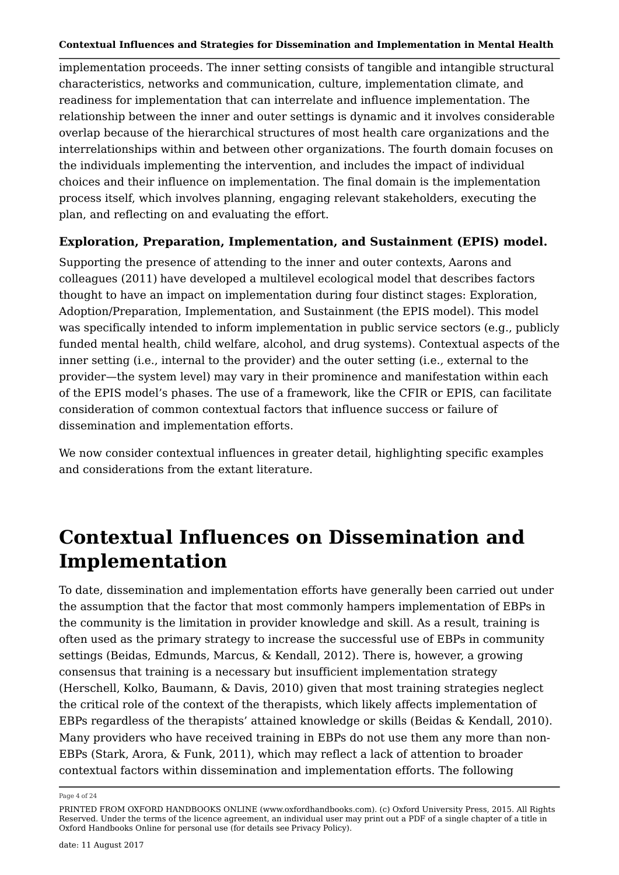implementation proceeds. The inner setting consists of tangible and intangible structural characteristics, networks and communication, culture, implementation climate, and readiness for implementation that can interrelate and influence implementation. The relationship between the inner and outer settings is dynamic and it involves considerable overlap because of the hierarchical structures of most health care organizations and the interrelationships within and between other organizations. The fourth domain focuses on the individuals implementing the intervention, and includes the impact of individual choices and their influence on implementation. The final domain is the implementation process itself, which involves planning, engaging relevant stakeholders, executing the plan, and reflecting on and evaluating the effort.

### **Exploration, Preparation, Implementation, and Sustainment (EPIS) model.**

Supporting the presence of attending to the inner and outer contexts, Aarons and colleagues (2011) have developed a multilevel ecological model that describes factors thought to have an impact on implementation during four distinct stages: Exploration, Adoption/Preparation, Implementation, and Sustainment (the EPIS model). This model was specifically intended to inform implementation in public service sectors (e.g., publicly funded mental health, child welfare, alcohol, and drug systems). Contextual aspects of the inner setting (i.e., internal to the provider) and the outer setting (i.e., external to the provider—the system level) may vary in their prominence and manifestation within each of the EPIS model's phases. The use of a framework, like the CFIR or EPIS, can facilitate consideration of common contextual factors that influence success or failure of dissemination and implementation efforts.

We now consider contextual influences in greater detail, highlighting specific examples and considerations from the extant literature.

# **Contextual Influences on Dissemination and Implementation**

To date, dissemination and implementation efforts have generally been carried out under the assumption that the factor that most commonly hampers implementation of EBPs in the community is the limitation in provider knowledge and skill. As a result, training is often used as the primary strategy to increase the successful use of EBPs in community settings (Beidas, Edmunds, Marcus, & Kendall, 2012). There is, however, a growing consensus that training is a necessary but insufficient implementation strategy (Herschell, Kolko, Baumann, & Davis, 2010) given that most training strategies neglect the critical role of the context of the therapists, which likely affects implementation of EBPs regardless of the therapists' attained knowledge or skills (Beidas & Kendall, 2010). Many providers who have received training in EBPs do not use them any more than non-EBPs (Stark, Arora, & Funk, 2011), which may reflect a lack of attention to broader contextual factors within dissemination and implementation efforts. The following

Page 4 of 24

PRINTED FROM OXFORD HANDBOOKS ONLINE (www.oxfordhandbooks.com). (c) Oxford University Press, 2015. All Rights Reserved. Under the terms of the licence agreement, an individual user may print out a PDF of a single chapter of a title in Oxford Handbooks Online for personal use (for details see Privacy Policy).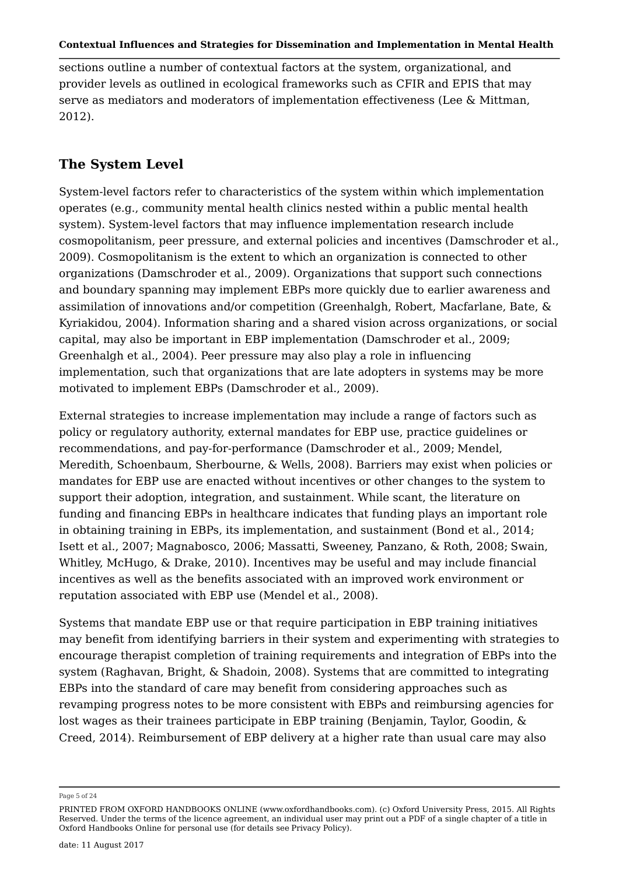sections outline a number of contextual factors at the system, organizational, and provider levels as outlined in ecological frameworks such as CFIR and EPIS that may serve as mediators and moderators of implementation effectiveness (Lee & Mittman, 2012).

# **The System Level**

System-level factors refer to characteristics of the system within which implementation operates (e.g., community mental health clinics nested within a public mental health system). System-level factors that may influence implementation research include cosmopolitanism, peer pressure, and external policies and incentives (Damschroder et al., 2009). Cosmopolitanism is the extent to which an organization is connected to other organizations (Damschroder et al., 2009). Organizations that support such connections and boundary spanning may implement EBPs more quickly due to earlier awareness and assimilation of innovations and/or competition (Greenhalgh, Robert, Macfarlane, Bate, & Kyriakidou, 2004). Information sharing and a shared vision across organizations, or social capital, may also be important in EBP implementation (Damschroder et al., 2009; Greenhalgh et al., 2004). Peer pressure may also play a role in influencing implementation, such that organizations that are late adopters in systems may be more motivated to implement EBPs (Damschroder et al., 2009).

External strategies to increase implementation may include a range of factors such as policy or regulatory authority, external mandates for EBP use, practice guidelines or recommendations, and pay-for-performance (Damschroder et al., 2009; Mendel, Meredith, Schoenbaum, Sherbourne, & Wells, 2008). Barriers may exist when policies or mandates for EBP use are enacted without incentives or other changes to the system to support their adoption, integration, and sustainment. While scant, the literature on funding and financing EBPs in healthcare indicates that funding plays an important role in obtaining training in EBPs, its implementation, and sustainment (Bond et al., 2014; Isett et al., 2007; Magnabosco, 2006; Massatti, Sweeney, Panzano, & Roth, 2008; Swain, Whitley, McHugo, & Drake, 2010). Incentives may be useful and may include financial incentives as well as the benefits associated with an improved work environment or reputation associated with EBP use (Mendel et al., 2008).

Systems that mandate EBP use or that require participation in EBP training initiatives may benefit from identifying barriers in their system and experimenting with strategies to encourage therapist completion of training requirements and integration of EBPs into the system (Raghavan, Bright, & Shadoin, 2008). Systems that are committed to integrating EBPs into the standard of care may benefit from considering approaches such as revamping progress notes to be more consistent with EBPs and reimbursing agencies for lost wages as their trainees participate in EBP training (Benjamin, Taylor, Goodin, & Creed, 2014). Reimbursement of EBP delivery at a higher rate than usual care may also

Page 5 of 24

PRINTED FROM OXFORD HANDBOOKS ONLINE (www.oxfordhandbooks.com). (c) Oxford University Press, 2015. All Rights Reserved. Under the terms of the licence agreement, an individual user may print out a PDF of a single chapter of a title in Oxford Handbooks Online for personal use (for details see Privacy Policy).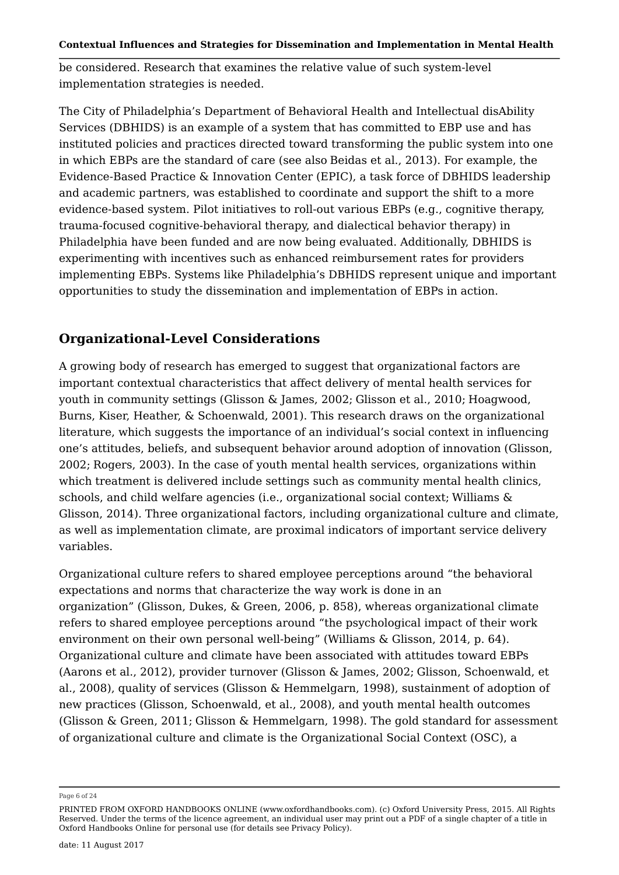be considered. Research that examines the relative value of such system-level implementation strategies is needed.

The City of Philadelphia's Department of Behavioral Health and Intellectual disAbility Services (DBHIDS) is an example of a system that has committed to EBP use and has instituted policies and practices directed toward transforming the public system into one in which EBPs are the standard of care (see also Beidas et al., 2013). For example, the Evidence-Based Practice & Innovation Center (EPIC), a task force of DBHIDS leadership and academic partners, was established to coordinate and support the shift to a more evidence-based system. Pilot initiatives to roll-out various EBPs (e.g., cognitive therapy, trauma-focused cognitive-behavioral therapy, and dialectical behavior therapy) in Philadelphia have been funded and are now being evaluated. Additionally, DBHIDS is experimenting with incentives such as enhanced reimbursement rates for providers implementing EBPs. Systems like Philadelphia's DBHIDS represent unique and important opportunities to study the dissemination and implementation of EBPs in action.

# **Organizational-Level Considerations**

A growing body of research has emerged to suggest that organizational factors are important contextual characteristics that affect delivery of mental health services for youth in community settings (Glisson & James, 2002; Glisson et al., 2010; Hoagwood, Burns, Kiser, Heather, & Schoenwald, 2001). This research draws on the organizational literature, which suggests the importance of an individual's social context in influencing one's attitudes, beliefs, and subsequent behavior around adoption of innovation (Glisson, 2002; Rogers, 2003). In the case of youth mental health services, organizations within which treatment is delivered include settings such as community mental health clinics, schools, and child welfare agencies (i.e., organizational social context; Williams & Glisson, 2014). Three organizational factors, including organizational culture and climate, as well as implementation climate, are proximal indicators of important service delivery variables.

Organizational culture refers to shared employee perceptions around "the behavioral expectations and norms that characterize the way work is done in an organization" (Glisson, Dukes, & Green, 2006, p. 858), whereas organizational climate refers to shared employee perceptions around "the psychological impact of their work environment on their own personal well-being" (Williams & Glisson, 2014, p. 64). Organizational culture and climate have been associated with attitudes toward EBPs (Aarons et al., 2012), provider turnover (Glisson & James, 2002; Glisson, Schoenwald, et al., 2008), quality of services (Glisson & Hemmelgarn, 1998), sustainment of adoption of new practices (Glisson, Schoenwald, et al., 2008), and youth mental health outcomes (Glisson & Green, 2011; Glisson & Hemmelgarn, 1998). The gold standard for assessment of organizational culture and climate is the Organizational Social Context (OSC), a

Page 6 of 24

PRINTED FROM OXFORD HANDBOOKS ONLINE (www.oxfordhandbooks.com). (c) Oxford University Press, 2015. All Rights Reserved. Under the terms of the licence agreement, an individual user may print out a PDF of a single chapter of a title in Oxford Handbooks Online for personal use (for details see Privacy Policy).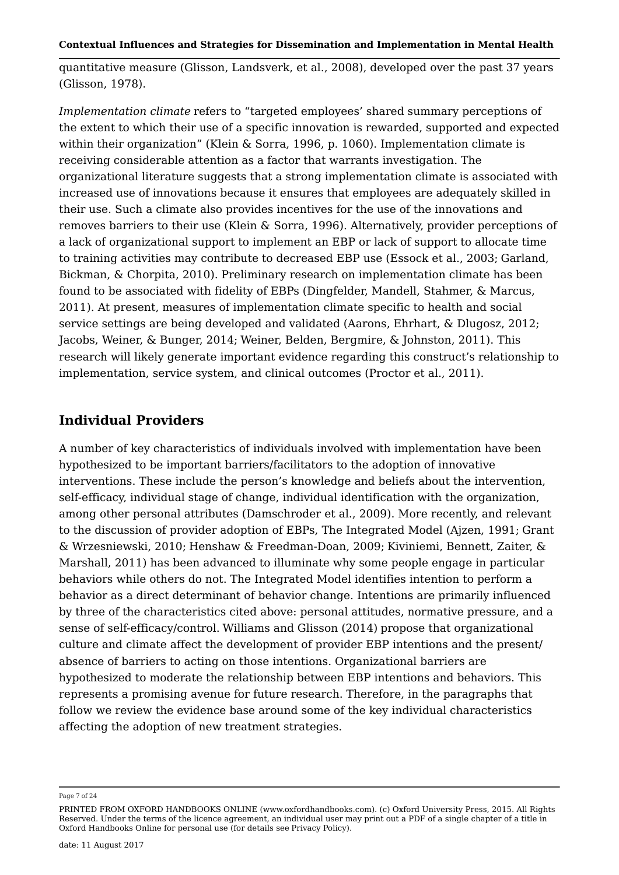quantitative measure (Glisson, Landsverk, et al., 2008), developed over the past 37 years (Glisson, 1978).

*Implementation climate* refers to "targeted employees' shared summary perceptions of the extent to which their use of a specific innovation is rewarded, supported and expected within their organization" (Klein & Sorra, 1996, p. 1060). Implementation climate is receiving considerable attention as a factor that warrants investigation. The organizational literature suggests that a strong implementation climate is associated with increased use of innovations because it ensures that employees are adequately skilled in their use. Such a climate also provides incentives for the use of the innovations and removes barriers to their use (Klein & Sorra, 1996). Alternatively, provider perceptions of a lack of organizational support to implement an EBP or lack of support to allocate time to training activities may contribute to decreased EBP use (Essock et al., 2003; Garland, Bickman, & Chorpita, 2010). Preliminary research on implementation climate has been found to be associated with fidelity of EBPs (Dingfelder, Mandell, Stahmer, & Marcus, 2011). At present, measures of implementation climate specific to health and social service settings are being developed and validated (Aarons, Ehrhart, & Dlugosz, 2012; Jacobs, Weiner, & Bunger, 2014; Weiner, Belden, Bergmire, & Johnston, 2011). This research will likely generate important evidence regarding this construct's relationship to implementation, service system, and clinical outcomes (Proctor et al., 2011).

# **Individual Providers**

A number of key characteristics of individuals involved with implementation have been hypothesized to be important barriers/facilitators to the adoption of innovative interventions. These include the person's knowledge and beliefs about the intervention, self-efficacy, individual stage of change, individual identification with the organization, among other personal attributes (Damschroder et al., 2009). More recently, and relevant to the discussion of provider adoption of EBPs, The Integrated Model (Ajzen, 1991; Grant & Wrzesniewski, 2010; Henshaw & Freedman-Doan, 2009; Kiviniemi, Bennett, Zaiter, & Marshall, 2011) has been advanced to illuminate why some people engage in particular behaviors while others do not. The Integrated Model identifies intention to perform a behavior as a direct determinant of behavior change. Intentions are primarily influenced by three of the characteristics cited above: personal attitudes, normative pressure, and a sense of self-efficacy/control. Williams and Glisson (2014) propose that organizational culture and climate affect the development of provider EBP intentions and the present/ absence of barriers to acting on those intentions. Organizational barriers are hypothesized to moderate the relationship between EBP intentions and behaviors. This represents a promising avenue for future research. Therefore, in the paragraphs that follow we review the evidence base around some of the key individual characteristics affecting the adoption of new treatment strategies.

Page 7 of 24

PRINTED FROM OXFORD HANDBOOKS ONLINE (www.oxfordhandbooks.com). (c) Oxford University Press, 2015. All Rights Reserved. Under the terms of the licence agreement, an individual user may print out a PDF of a single chapter of a title in Oxford Handbooks Online for personal use (for details see Privacy Policy).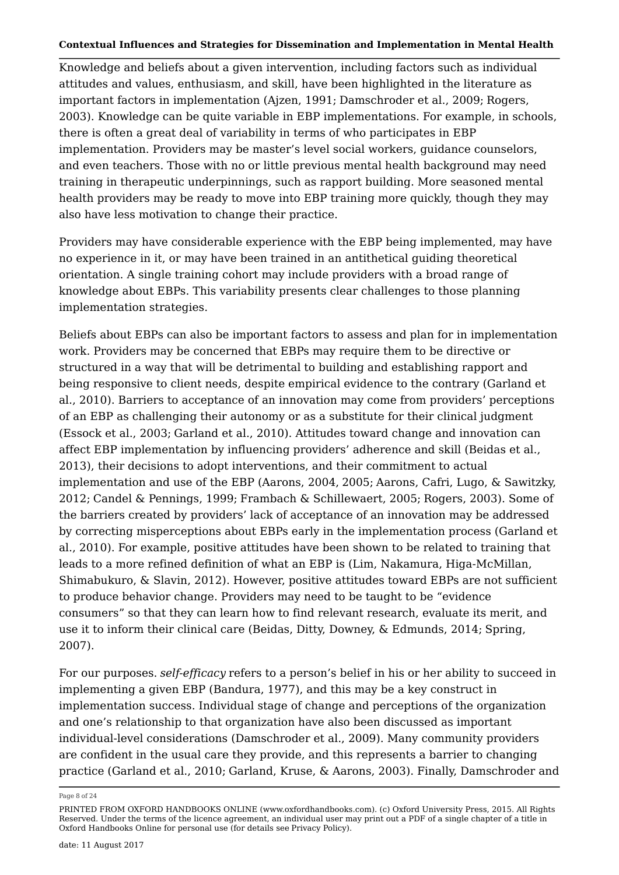Knowledge and beliefs about a given intervention, including factors such as individual attitudes and values, enthusiasm, and skill, have been highlighted in the literature as important factors in implementation (Ajzen, 1991; Damschroder et al., 2009; Rogers, 2003). Knowledge can be quite variable in EBP implementations. For example, in schools, there is often a great deal of variability in terms of who participates in EBP implementation. Providers may be master's level social workers, guidance counselors, and even teachers. Those with no or little previous mental health background may need training in therapeutic underpinnings, such as rapport building. More seasoned mental health providers may be ready to move into EBP training more quickly, though they may also have less motivation to change their practice.

Providers may have considerable experience with the EBP being implemented, may have no experience in it, or may have been trained in an antithetical guiding theoretical orientation. A single training cohort may include providers with a broad range of knowledge about EBPs. This variability presents clear challenges to those planning implementation strategies.

Beliefs about EBPs can also be important factors to assess and plan for in implementation work. Providers may be concerned that EBPs may require them to be directive or structured in a way that will be detrimental to building and establishing rapport and being responsive to client needs, despite empirical evidence to the contrary (Garland et al., 2010). Barriers to acceptance of an innovation may come from providers' perceptions of an EBP as challenging their autonomy or as a substitute for their clinical judgment (Essock et al., 2003; Garland et al., 2010). Attitudes toward change and innovation can affect EBP implementation by influencing providers' adherence and skill (Beidas et al., 2013), their decisions to adopt interventions, and their commitment to actual implementation and use of the EBP (Aarons, 2004, 2005; Aarons, Cafri, Lugo, & Sawitzky, 2012; Candel & Pennings, 1999; Frambach & Schillewaert, 2005; Rogers, 2003). Some of the barriers created by providers' lack of acceptance of an innovation may be addressed by correcting misperceptions about EBPs early in the implementation process (Garland et al., 2010). For example, positive attitudes have been shown to be related to training that leads to a more refined definition of what an EBP is (Lim, Nakamura, Higa-McMillan, Shimabukuro, & Slavin, 2012). However, positive attitudes toward EBPs are not sufficient to produce behavior change. Providers may need to be taught to be "evidence consumers" so that they can learn how to find relevant research, evaluate its merit, and use it to inform their clinical care (Beidas, Ditty, Downey, & Edmunds, 2014; Spring, 2007).

For our purposes. *self-efficacy* refers to a person's belief in his or her ability to succeed in implementing a given EBP (Bandura, 1977), and this may be a key construct in implementation success. Individual stage of change and perceptions of the organization and one's relationship to that organization have also been discussed as important individual-level considerations (Damschroder et al., 2009). Many community providers are confident in the usual care they provide, and this represents a barrier to changing practice (Garland et al., 2010; Garland, Kruse, & Aarons, 2003). Finally, Damschroder and

Page 8 of 24

PRINTED FROM OXFORD HANDBOOKS ONLINE (www.oxfordhandbooks.com). (c) Oxford University Press, 2015. All Rights Reserved. Under the terms of the licence agreement, an individual user may print out a PDF of a single chapter of a title in Oxford Handbooks Online for personal use (for details see Privacy Policy).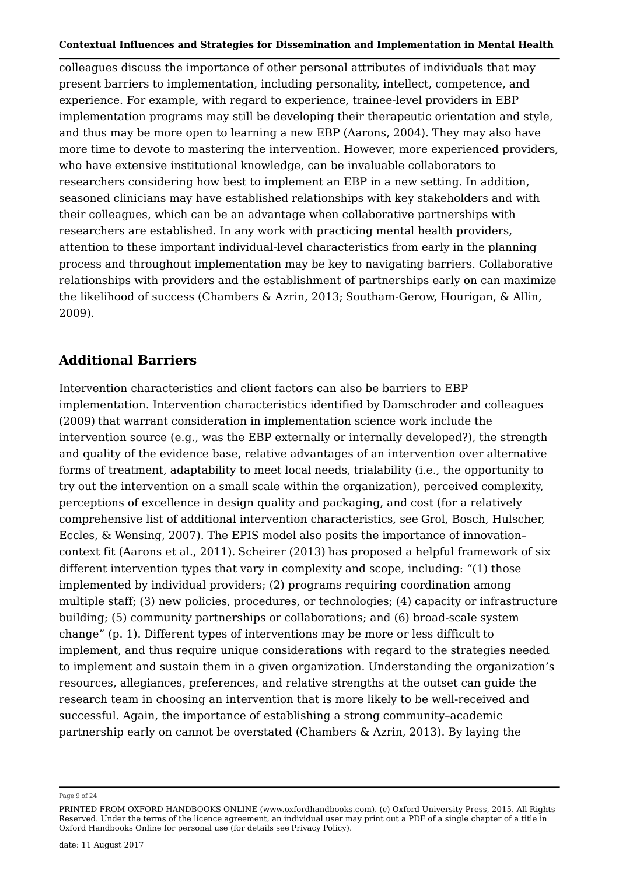colleagues discuss the importance of other personal attributes of individuals that may present barriers to implementation, including personality, intellect, competence, and experience. For example, with regard to experience, trainee-level providers in EBP implementation programs may still be developing their therapeutic orientation and style, and thus may be more open to learning a new EBP (Aarons, 2004). They may also have more time to devote to mastering the intervention. However, more experienced providers, who have extensive institutional knowledge, can be invaluable collaborators to researchers considering how best to implement an EBP in a new setting. In addition, seasoned clinicians may have established relationships with key stakeholders and with their colleagues, which can be an advantage when collaborative partnerships with researchers are established. In any work with practicing mental health providers, attention to these important individual-level characteristics from early in the planning process and throughout implementation may be key to navigating barriers. Collaborative relationships with providers and the establishment of partnerships early on can maximize the likelihood of success (Chambers & Azrin, 2013; Southam-Gerow, Hourigan, & Allin, 2009).

### **Additional Barriers**

Intervention characteristics and client factors can also be barriers to EBP implementation. Intervention characteristics identified by Damschroder and colleagues (2009) that warrant consideration in implementation science work include the intervention source (e.g., was the EBP externally or internally developed?), the strength and quality of the evidence base, relative advantages of an intervention over alternative forms of treatment, adaptability to meet local needs, trialability (i.e., the opportunity to try out the intervention on a small scale within the organization), perceived complexity, perceptions of excellence in design quality and packaging, and cost (for a relatively comprehensive list of additional intervention characteristics, see Grol, Bosch, Hulscher, Eccles, & Wensing, 2007). The EPIS model also posits the importance of innovation– context fit (Aarons et al., 2011). Scheirer (2013) has proposed a helpful framework of six different intervention types that vary in complexity and scope, including: "(1) those implemented by individual providers; (2) programs requiring coordination among multiple staff; (3) new policies, procedures, or technologies; (4) capacity or infrastructure building; (5) community partnerships or collaborations; and (6) broad-scale system change" (p. 1). Different types of interventions may be more or less difficult to implement, and thus require unique considerations with regard to the strategies needed to implement and sustain them in a given organization. Understanding the organization's resources, allegiances, preferences, and relative strengths at the outset can guide the research team in choosing an intervention that is more likely to be well-received and successful. Again, the importance of establishing a strong community–academic partnership early on cannot be overstated (Chambers & Azrin, 2013). By laying the

Page 9 of 24

PRINTED FROM OXFORD HANDBOOKS ONLINE (www.oxfordhandbooks.com). (c) Oxford University Press, 2015. All Rights Reserved. Under the terms of the licence agreement, an individual user may print out a PDF of a single chapter of a title in Oxford Handbooks Online for personal use (for details see Privacy Policy).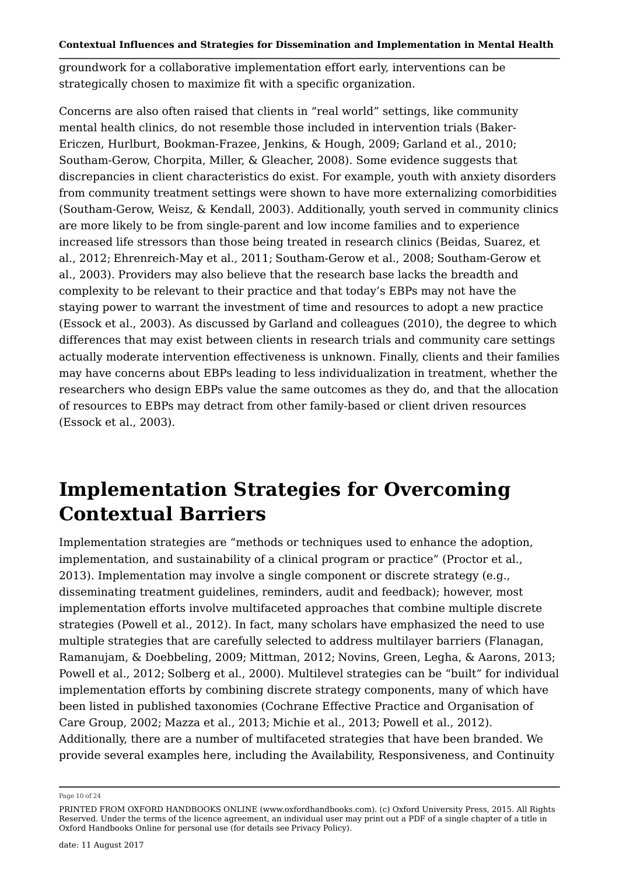groundwork for a collaborative implementation effort early, interventions can be strategically chosen to maximize fit with a specific organization.

Concerns are also often raised that clients in "real world" settings, like community mental health clinics, do not resemble those included in intervention trials (Baker-Ericzen, Hurlburt, Bookman-Frazee, Jenkins, & Hough, 2009; Garland et al., 2010; Southam-Gerow, Chorpita, Miller, & Gleacher, 2008). Some evidence suggests that discrepancies in client characteristics do exist. For example, youth with anxiety disorders from community treatment settings were shown to have more externalizing comorbidities (Southam-Gerow, Weisz, & Kendall, 2003). Additionally, youth served in community clinics are more likely to be from single-parent and low income families and to experience increased life stressors than those being treated in research clinics (Beidas, Suarez, et al., 2012; Ehrenreich-May et al., 2011; Southam-Gerow et al., 2008; Southam-Gerow et al., 2003). Providers may also believe that the research base lacks the breadth and complexity to be relevant to their practice and that today's EBPs may not have the staying power to warrant the investment of time and resources to adopt a new practice (Essock et al., 2003). As discussed by Garland and colleagues (2010), the degree to which differences that may exist between clients in research trials and community care settings actually moderate intervention effectiveness is unknown. Finally, clients and their families may have concerns about EBPs leading to less individualization in treatment, whether the researchers who design EBPs value the same outcomes as they do, and that the allocation of resources to EBPs may detract from other family-based or client driven resources (Essock et al., 2003).

# **Implementation Strategies for Overcoming Contextual Barriers**

Implementation strategies are "methods or techniques used to enhance the adoption, implementation, and sustainability of a clinical program or practice" (Proctor et al., 2013). Implementation may involve a single component or discrete strategy (e.g., disseminating treatment guidelines, reminders, audit and feedback); however, most implementation efforts involve multifaceted approaches that combine multiple discrete strategies (Powell et al., 2012). In fact, many scholars have emphasized the need to use multiple strategies that are carefully selected to address multilayer barriers (Flanagan, Ramanujam, & Doebbeling, 2009; Mittman, 2012; Novins, Green, Legha, & Aarons, 2013; Powell et al., 2012; Solberg et al., 2000). Multilevel strategies can be "built" for individual implementation efforts by combining discrete strategy components, many of which have been listed in published taxonomies (Cochrane Effective Practice and Organisation of Care Group, 2002; Mazza et al., 2013; Michie et al., 2013; Powell et al., 2012). Additionally, there are a number of multifaceted strategies that have been branded. We provide several examples here, including the Availability, Responsiveness, and Continuity

Page 10 of 24

PRINTED FROM OXFORD HANDBOOKS ONLINE (www.oxfordhandbooks.com). (c) Oxford University Press, 2015. All Rights Reserved. Under the terms of the licence agreement, an individual user may print out a PDF of a single chapter of a title in Oxford Handbooks Online for personal use (for details see Privacy Policy).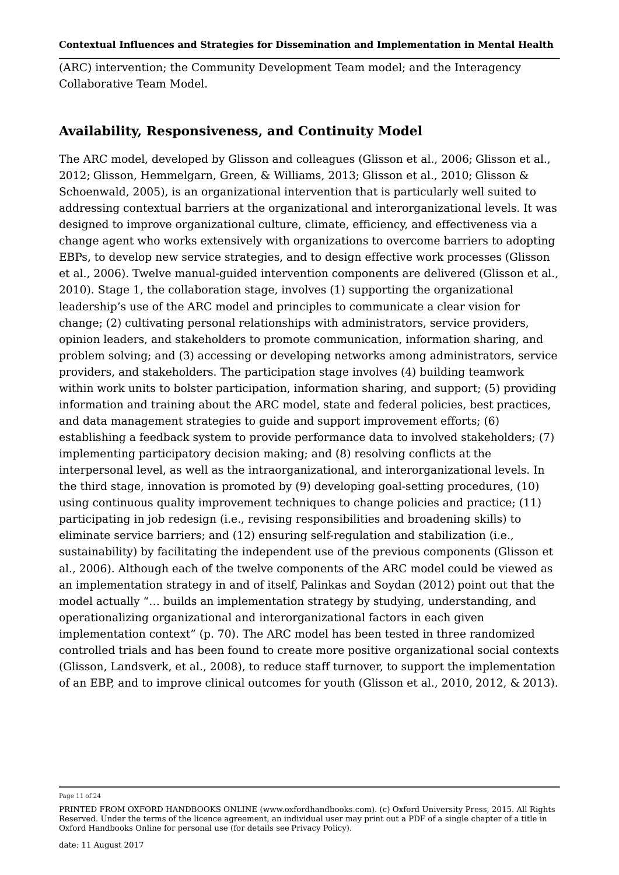(ARC) intervention; the Community Development Team model; and the Interagency Collaborative Team Model.

### **Availability, Responsiveness, and Continuity Model**

The ARC model, developed by Glisson and colleagues (Glisson et al., 2006; Glisson et al., 2012; Glisson, Hemmelgarn, Green, & Williams, 2013; Glisson et al., 2010; Glisson & Schoenwald, 2005), is an organizational intervention that is particularly well suited to addressing contextual barriers at the organizational and interorganizational levels. It was designed to improve organizational culture, climate, efficiency, and effectiveness via a change agent who works extensively with organizations to overcome barriers to adopting EBPs, to develop new service strategies, and to design effective work processes (Glisson et al., 2006). Twelve manual-guided intervention components are delivered (Glisson et al., 2010). Stage 1, the collaboration stage, involves (1) supporting the organizational leadership's use of the ARC model and principles to communicate a clear vision for change; (2) cultivating personal relationships with administrators, service providers, opinion leaders, and stakeholders to promote communication, information sharing, and problem solving; and (3) accessing or developing networks among administrators, service providers, and stakeholders. The participation stage involves (4) building teamwork within work units to bolster participation, information sharing, and support; (5) providing information and training about the ARC model, state and federal policies, best practices, and data management strategies to guide and support improvement efforts; (6) establishing a feedback system to provide performance data to involved stakeholders; (7) implementing participatory decision making; and (8) resolving conflicts at the interpersonal level, as well as the intraorganizational, and interorganizational levels. In the third stage, innovation is promoted by (9) developing goal-setting procedures, (10) using continuous quality improvement techniques to change policies and practice; (11) participating in job redesign (i.e., revising responsibilities and broadening skills) to eliminate service barriers; and (12) ensuring self-regulation and stabilization (i.e., sustainability) by facilitating the independent use of the previous components (Glisson et al., 2006). Although each of the twelve components of the ARC model could be viewed as an implementation strategy in and of itself, Palinkas and Soydan (2012) point out that the model actually "… builds an implementation strategy by studying, understanding, and operationalizing organizational and interorganizational factors in each given implementation context" (p. 70). The ARC model has been tested in three randomized controlled trials and has been found to create more positive organizational social contexts (Glisson, Landsverk, et al., 2008), to reduce staff turnover, to support the implementation of an EBP, and to improve clinical outcomes for youth (Glisson et al., 2010, 2012, & 2013).

Page 11 of 24

PRINTED FROM OXFORD HANDBOOKS ONLINE (www.oxfordhandbooks.com). (c) Oxford University Press, 2015. All Rights Reserved. Under the terms of the licence agreement, an individual user may print out a PDF of a single chapter of a title in Oxford Handbooks Online for personal use (for details see Privacy Policy).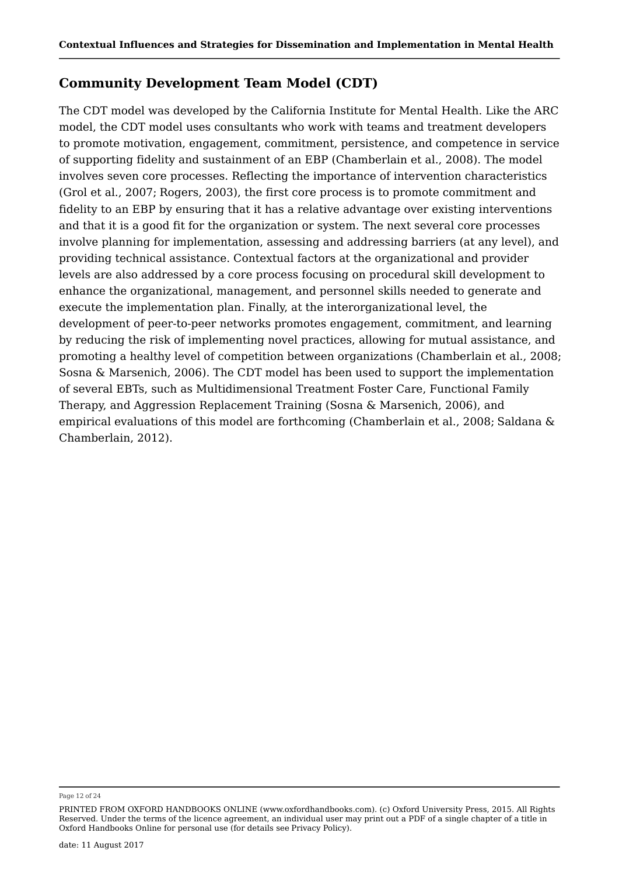# **Community Development Team Model (CDT)**

The CDT model was developed by the California Institute for Mental Health. Like the ARC model, the CDT model uses consultants who work with teams and treatment developers to promote motivation, engagement, commitment, persistence, and competence in service of supporting fidelity and sustainment of an EBP (Chamberlain et al., 2008). The model involves seven core processes. Reflecting the importance of intervention characteristics (Grol et al., 2007; Rogers, 2003), the first core process is to promote commitment and fidelity to an EBP by ensuring that it has a relative advantage over existing interventions and that it is a good fit for the organization or system. The next several core processes involve planning for implementation, assessing and addressing barriers (at any level), and providing technical assistance. Contextual factors at the organizational and provider levels are also addressed by a core process focusing on procedural skill development to enhance the organizational, management, and personnel skills needed to generate and execute the implementation plan. Finally, at the interorganizational level, the development of peer-to-peer networks promotes engagement, commitment, and learning by reducing the risk of implementing novel practices, allowing for mutual assistance, and promoting a healthy level of competition between organizations (Chamberlain et al., 2008; Sosna & Marsenich, 2006). The CDT model has been used to support the implementation of several EBTs, such as Multidimensional Treatment Foster Care, Functional Family Therapy, and Aggression Replacement Training (Sosna & Marsenich, 2006), and empirical evaluations of this model are forthcoming (Chamberlain et al., 2008; Saldana & Chamberlain, 2012).

Page 12 of 24

PRINTED FROM OXFORD HANDBOOKS ONLINE (www.oxfordhandbooks.com). (c) Oxford University Press, 2015. All Rights Reserved. Under the terms of the licence agreement, an individual user may print out a PDF of a single chapter of a title in Oxford Handbooks Online for personal use (for details see Privacy Policy).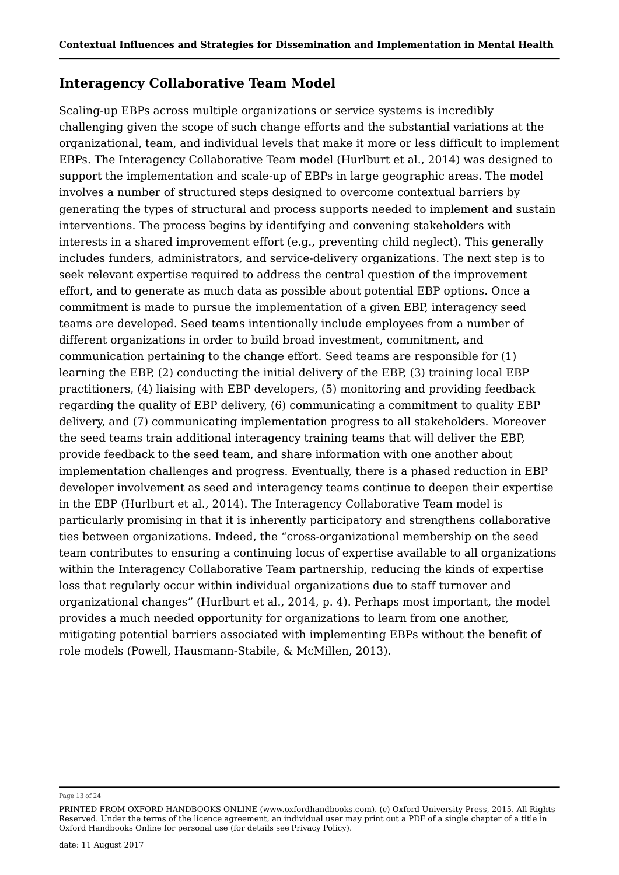## **Interagency Collaborative Team Model**

Scaling-up EBPs across multiple organizations or service systems is incredibly challenging given the scope of such change efforts and the substantial variations at the organizational, team, and individual levels that make it more or less difficult to implement EBPs. The Interagency Collaborative Team model (Hurlburt et al., 2014) was designed to support the implementation and scale-up of EBPs in large geographic areas. The model involves a number of structured steps designed to overcome contextual barriers by generating the types of structural and process supports needed to implement and sustain interventions. The process begins by identifying and convening stakeholders with interests in a shared improvement effort (e.g., preventing child neglect). This generally includes funders, administrators, and service-delivery organizations. The next step is to seek relevant expertise required to address the central question of the improvement effort, and to generate as much data as possible about potential EBP options. Once a commitment is made to pursue the implementation of a given EBP, interagency seed teams are developed. Seed teams intentionally include employees from a number of different organizations in order to build broad investment, commitment, and communication pertaining to the change effort. Seed teams are responsible for (1) learning the EBP, (2) conducting the initial delivery of the EBP, (3) training local EBP practitioners, (4) liaising with EBP developers, (5) monitoring and providing feedback regarding the quality of EBP delivery, (6) communicating a commitment to quality EBP delivery, and (7) communicating implementation progress to all stakeholders. Moreover the seed teams train additional interagency training teams that will deliver the EBP, provide feedback to the seed team, and share information with one another about implementation challenges and progress. Eventually, there is a phased reduction in EBP developer involvement as seed and interagency teams continue to deepen their expertise in the EBP (Hurlburt et al., 2014). The Interagency Collaborative Team model is particularly promising in that it is inherently participatory and strengthens collaborative ties between organizations. Indeed, the "cross-organizational membership on the seed team contributes to ensuring a continuing locus of expertise available to all organizations within the Interagency Collaborative Team partnership, reducing the kinds of expertise loss that regularly occur within individual organizations due to staff turnover and organizational changes" (Hurlburt et al., 2014, p. 4). Perhaps most important, the model provides a much needed opportunity for organizations to learn from one another, mitigating potential barriers associated with implementing EBPs without the benefit of role models (Powell, Hausmann-Stabile, & McMillen, 2013).

Page 13 of 24

PRINTED FROM OXFORD HANDBOOKS ONLINE (www.oxfordhandbooks.com). (c) Oxford University Press, 2015. All Rights Reserved. Under the terms of the licence agreement, an individual user may print out a PDF of a single chapter of a title in Oxford Handbooks Online for personal use (for details see Privacy Policy).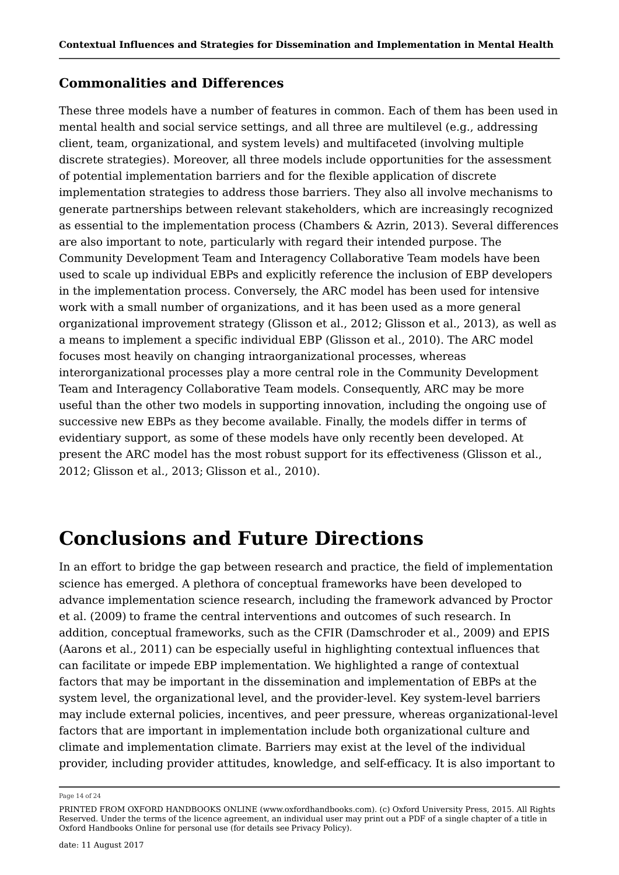## **Commonalities and Differences**

These three models have a number of features in common. Each of them has been used in mental health and social service settings, and all three are multilevel (e.g., addressing client, team, organizational, and system levels) and multifaceted (involving multiple discrete strategies). Moreover, all three models include opportunities for the assessment of potential implementation barriers and for the flexible application of discrete implementation strategies to address those barriers. They also all involve mechanisms to generate partnerships between relevant stakeholders, which are increasingly recognized as essential to the implementation process (Chambers & Azrin, 2013). Several differences are also important to note, particularly with regard their intended purpose. The Community Development Team and Interagency Collaborative Team models have been used to scale up individual EBPs and explicitly reference the inclusion of EBP developers in the implementation process. Conversely, the ARC model has been used for intensive work with a small number of organizations, and it has been used as a more general organizational improvement strategy (Glisson et al., 2012; Glisson et al., 2013), as well as a means to implement a specific individual EBP (Glisson et al., 2010). The ARC model focuses most heavily on changing intraorganizational processes, whereas interorganizational processes play a more central role in the Community Development Team and Interagency Collaborative Team models. Consequently, ARC may be more useful than the other two models in supporting innovation, including the ongoing use of successive new EBPs as they become available. Finally, the models differ in terms of evidentiary support, as some of these models have only recently been developed. At present the ARC model has the most robust support for its effectiveness (Glisson et al., 2012; Glisson et al., 2013; Glisson et al., 2010).

# **Conclusions and Future Directions**

In an effort to bridge the gap between research and practice, the field of implementation science has emerged. A plethora of conceptual frameworks have been developed to advance implementation science research, including the framework advanced by Proctor et al. (2009) to frame the central interventions and outcomes of such research. In addition, conceptual frameworks, such as the CFIR (Damschroder et al., 2009) and EPIS (Aarons et al., 2011) can be especially useful in highlighting contextual influences that can facilitate or impede EBP implementation. We highlighted a range of contextual factors that may be important in the dissemination and implementation of EBPs at the system level, the organizational level, and the provider-level. Key system-level barriers may include external policies, incentives, and peer pressure, whereas organizational-level factors that are important in implementation include both organizational culture and climate and implementation climate. Barriers may exist at the level of the individual provider, including provider attitudes, knowledge, and self-efficacy. It is also important to

PRINTED FROM OXFORD HANDBOOKS ONLINE (www.oxfordhandbooks.com). (c) Oxford University Press, 2015. All Rights Reserved. Under the terms of the licence agreement, an individual user may print out a PDF of a single chapter of a title in Oxford Handbooks Online for personal use (for details see Privacy Policy).

Page 14 of 24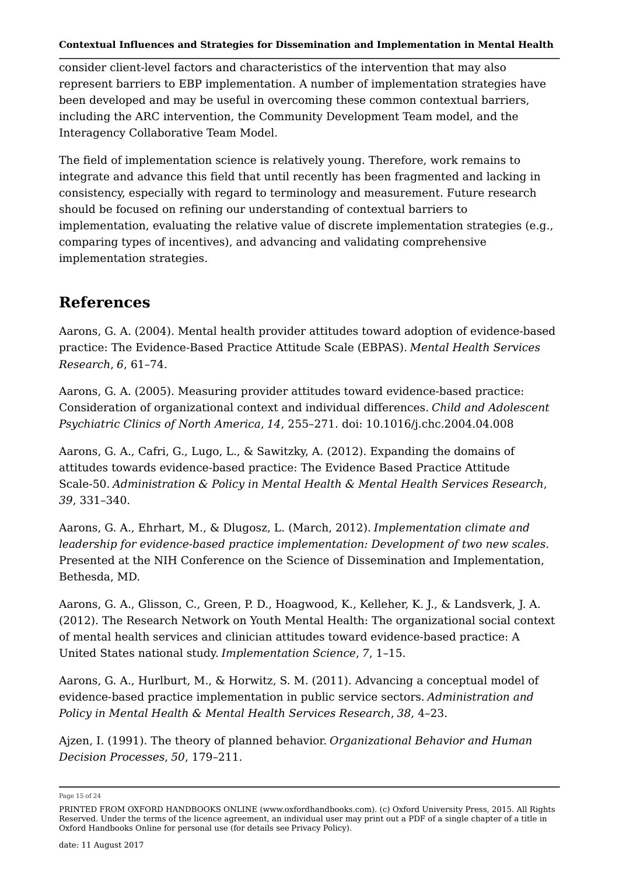consider client-level factors and characteristics of the intervention that may also represent barriers to EBP implementation. A number of implementation strategies have been developed and may be useful in overcoming these common contextual barriers, including the ARC intervention, the Community Development Team model, and the Interagency Collaborative Team Model.

The field of implementation science is relatively young. Therefore, work remains to integrate and advance this field that until recently has been fragmented and lacking in consistency, especially with regard to terminology and measurement. Future research should be focused on refining our understanding of contextual barriers to implementation, evaluating the relative value of discrete implementation strategies (e.g., comparing types of incentives), and advancing and validating comprehensive implementation strategies.

# **References**

Aarons, G. A. (2004). Mental health provider attitudes toward adoption of evidence-based practice: The Evidence-Based Practice Attitude Scale (EBPAS). *Mental Health Services Research*, *6*, 61–74.

Aarons, G. A. (2005). Measuring provider attitudes toward evidence-based practice: Consideration of organizational context and individual differences. *Child and Adolescent Psychiatric Clinics of North America*, *14*, 255–271. doi: 10.1016/j.chc.2004.04.008

Aarons, G. A., Cafri, G., Lugo, L., & Sawitzky, A. (2012). Expanding the domains of attitudes towards evidence-based practice: The Evidence Based Practice Attitude Scale-50. *Administration & Policy in Mental Health & Mental Health Services Research*, *39*, 331–340.

Aarons, G. A., Ehrhart, M., & Dlugosz, L. (March, 2012). *Implementation climate and leadership for evidence-based practice implementation: Development of two new scales*. Presented at the NIH Conference on the Science of Dissemination and Implementation, Bethesda, MD.

Aarons, G. A., Glisson, C., Green, P. D., Hoagwood, K., Kelleher, K. J., & Landsverk, J. A. (2012). The Research Network on Youth Mental Health: The organizational social context of mental health services and clinician attitudes toward evidence-based practice: A United States national study. *Implementation Science*, *7*, 1–15.

Aarons, G. A., Hurlburt, M., & Horwitz, S. M. (2011). Advancing a conceptual model of evidence-based practice implementation in public service sectors. *Administration and Policy in Mental Health & Mental Health Services Research*, *38*, 4–23.

Ajzen, I. (1991). The theory of planned behavior. *Organizational Behavior and Human Decision Processes*, *50*, 179–211.

Page 15 of 24

PRINTED FROM OXFORD HANDBOOKS ONLINE (www.oxfordhandbooks.com). (c) Oxford University Press, 2015. All Rights Reserved. Under the terms of the licence agreement, an individual user may print out a PDF of a single chapter of a title in Oxford Handbooks Online for personal use (for details see Privacy Policy).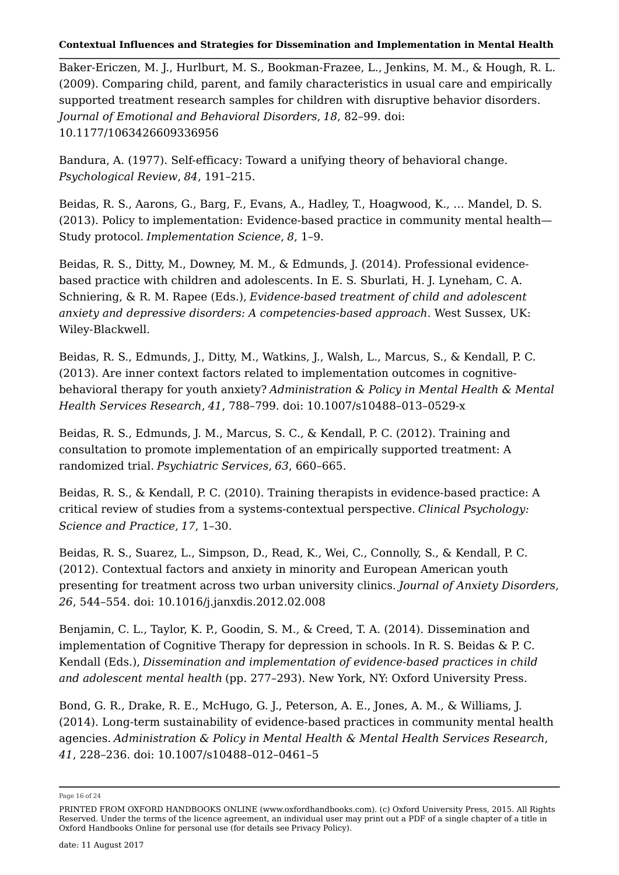Baker-Ericzen, M. J., Hurlburt, M. S., Bookman-Frazee, L., Jenkins, M. M., & Hough, R. L. (2009). Comparing child, parent, and family characteristics in usual care and empirically supported treatment research samples for children with disruptive behavior disorders. *Journal of Emotional and Behavioral Disorders*, *18*, 82–99. doi: 10.1177/1063426609336956

Bandura, A. (1977). Self-efficacy: Toward a unifying theory of behavioral change. *Psychological Review*, *84*, 191–215.

Beidas, R. S., Aarons, G., Barg, F., Evans, A., Hadley, T., Hoagwood, K., … Mandel, D. S. (2013). Policy to implementation: Evidence-based practice in community mental health— Study protocol. *Implementation Science*, *8*, 1–9.

Beidas, R. S., Ditty, M., Downey, M. M., & Edmunds, J. (2014). Professional evidencebased practice with children and adolescents. In E. S. Sburlati, H. J. Lyneham, C. A. Schniering, & R. M. Rapee (Eds.), *Evidence-based treatment of child and adolescent anxiety and depressive disorders: A competencies-based approach*. West Sussex, UK: Wiley-Blackwell.

Beidas, R. S., Edmunds, J., Ditty, M., Watkins, J., Walsh, L., Marcus, S., & Kendall, P. C. (2013). Are inner context factors related to implementation outcomes in cognitivebehavioral therapy for youth anxiety? *Administration & Policy in Mental Health & Mental Health Services Research*, *41*, 788–799. doi: 10.1007/s10488–013–0529-x

Beidas, R. S., Edmunds, J. M., Marcus, S. C., & Kendall, P. C. (2012). Training and consultation to promote implementation of an empirically supported treatment: A randomized trial. *Psychiatric Services*, *63*, 660–665.

Beidas, R. S., & Kendall, P. C. (2010). Training therapists in evidence-based practice: A critical review of studies from a systems-contextual perspective. *Clinical Psychology: Science and Practice*, *17*, 1–30.

Beidas, R. S., Suarez, L., Simpson, D., Read, K., Wei, C., Connolly, S., & Kendall, P. C. (2012). Contextual factors and anxiety in minority and European American youth presenting for treatment across two urban university clinics. *Journal of Anxiety Disorders*, *26*, 544–554. doi: 10.1016/j.janxdis.2012.02.008

Benjamin, C. L., Taylor, K. P., Goodin, S. M., & Creed, T. A. (2014). Dissemination and implementation of Cognitive Therapy for depression in schools. In R. S. Beidas & P. C. Kendall (Eds.), *Dissemination and implementation of evidence-based practices in child and adolescent mental health* (pp. 277–293). New York, NY: Oxford University Press.

Bond, G. R., Drake, R. E., McHugo, G. J., Peterson, A. E., Jones, A. M., & Williams, J. (2014). Long-term sustainability of evidence-based practices in community mental health agencies. *Administration & Policy in Mental Health & Mental Health Services Research*, *41*, 228–236. doi: 10.1007/s10488–012–0461–5

Page 16 of 24

PRINTED FROM OXFORD HANDBOOKS ONLINE (www.oxfordhandbooks.com). (c) Oxford University Press, 2015. All Rights Reserved. Under the terms of the licence agreement, an individual user may print out a PDF of a single chapter of a title in Oxford Handbooks Online for personal use (for details see Privacy Policy).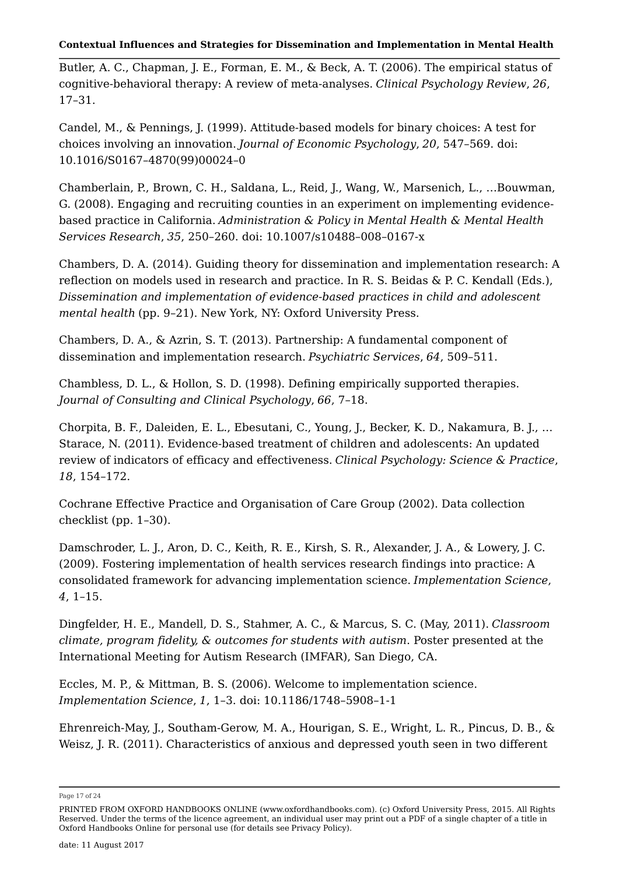Butler, A. C., Chapman, J. E., Forman, E. M., & Beck, A. T. (2006). The empirical status of cognitive-behavioral therapy: A review of meta-analyses. *Clinical Psychology Review*, *26*, 17–31.

Candel, M., & Pennings, J. (1999). Attitude-based models for binary choices: A test for choices involving an innovation. *Journal of Economic Psychology*, *20*, 547–569. doi: 10.1016/S0167–4870(99)00024–0

Chamberlain, P., Brown, C. H., Saldana, L., Reid, J., Wang, W., Marsenich, L., …Bouwman, G. (2008). Engaging and recruiting counties in an experiment on implementing evidencebased practice in California. *Administration & Policy in Mental Health & Mental Health Services Research*, *35*, 250–260. doi: 10.1007/s10488–008–0167-x

Chambers, D. A. (2014). Guiding theory for dissemination and implementation research: A reflection on models used in research and practice. In R. S. Beidas & P. C. Kendall (Eds.), *Dissemination and implementation of evidence-based practices in child and adolescent mental health* (pp. 9–21). New York, NY: Oxford University Press.

Chambers, D. A., & Azrin, S. T. (2013). Partnership: A fundamental component of dissemination and implementation research. *Psychiatric Services*, *64*, 509–511.

Chambless, D. L., & Hollon, S. D. (1998). Defining empirically supported therapies. *Journal of Consulting and Clinical Psychology*, *66*, 7–18.

Chorpita, B. F., Daleiden, E. L., Ebesutani, C., Young, J., Becker, K. D., Nakamura, B. J., … Starace, N. (2011). Evidence-based treatment of children and adolescents: An updated review of indicators of efficacy and effectiveness. *Clinical Psychology: Science & Practice*, *18*, 154–172.

Cochrane Effective Practice and Organisation of Care Group (2002). Data collection checklist (pp. 1–30).

Damschroder, L. J., Aron, D. C., Keith, R. E., Kirsh, S. R., Alexander, J. A., & Lowery, J. C. (2009). Fostering implementation of health services research findings into practice: A consolidated framework for advancing implementation science. *Implementation Science*, *4*, 1–15.

Dingfelder, H. E., Mandell, D. S., Stahmer, A. C., & Marcus, S. C. (May, 2011). *Classroom climate, program fidelity, & outcomes for students with autism*. Poster presented at the International Meeting for Autism Research (IMFAR), San Diego, CA.

Eccles, M. P., & Mittman, B. S. (2006). Welcome to implementation science. *Implementation Science*, *1*, 1–3. doi: 10.1186/1748–5908–1-1

Ehrenreich-May, J., Southam-Gerow, M. A., Hourigan, S. E., Wright, L. R., Pincus, D. B., & Weisz, J. R. (2011). Characteristics of anxious and depressed youth seen in two different

Page 17 of 24

PRINTED FROM OXFORD HANDBOOKS ONLINE (www.oxfordhandbooks.com). (c) Oxford University Press, 2015. All Rights Reserved. Under the terms of the licence agreement, an individual user may print out a PDF of a single chapter of a title in Oxford Handbooks Online for personal use (for details see Privacy Policy).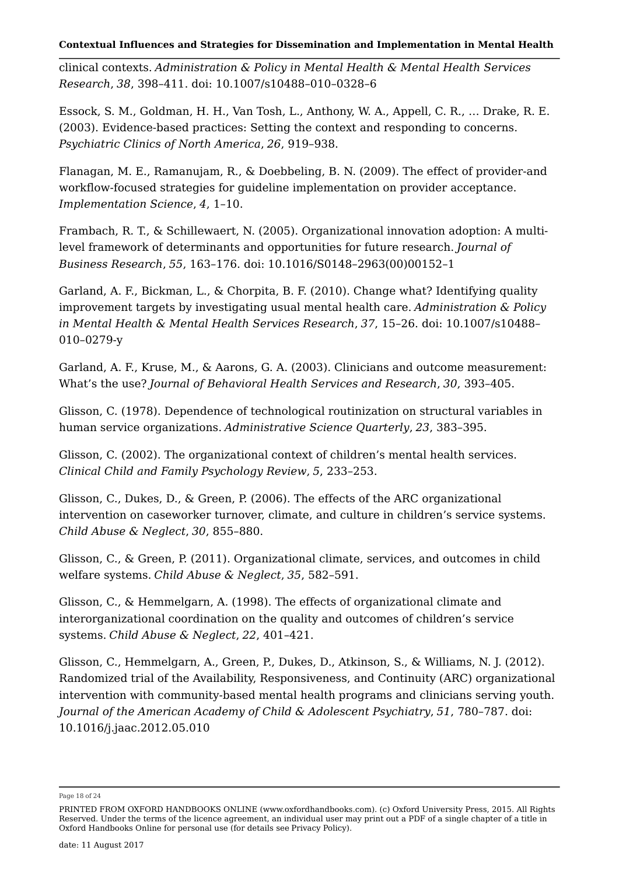clinical contexts. *Administration & Policy in Mental Health & Mental Health Services Research*, *38*, 398–411. doi: 10.1007/s10488–010–0328–6

Essock, S. M., Goldman, H. H., Van Tosh, L., Anthony, W. A., Appell, C. R., … Drake, R. E. (2003). Evidence-based practices: Setting the context and responding to concerns. *Psychiatric Clinics of North America*, *26*, 919–938.

Flanagan, M. E., Ramanujam, R., & Doebbeling, B. N. (2009). The effect of provider-and workflow-focused strategies for guideline implementation on provider acceptance. *Implementation Science*, *4*, 1–10.

Frambach, R. T., & Schillewaert, N. (2005). Organizational innovation adoption: A multilevel framework of determinants and opportunities for future research. *Journal of Business Research*, *55*, 163–176. doi: 10.1016/S0148–2963(00)00152–1

Garland, A. F., Bickman, L., & Chorpita, B. F. (2010). Change what? Identifying quality improvement targets by investigating usual mental health care. *Administration & Policy in Mental Health & Mental Health Services Research*, *37*, 15–26. doi: 10.1007/s10488– 010–0279-y

Garland, A. F., Kruse, M., & Aarons, G. A. (2003). Clinicians and outcome measurement: What's the use? *Journal of Behavioral Health Services and Research*, *30*, 393–405.

Glisson, C. (1978). Dependence of technological routinization on structural variables in human service organizations. *Administrative Science Quarterly*, *23*, 383–395.

Glisson, C. (2002). The organizational context of children's mental health services. *Clinical Child and Family Psychology Review*, *5*, 233–253.

Glisson, C., Dukes, D., & Green, P. (2006). The effects of the ARC organizational intervention on caseworker turnover, climate, and culture in children's service systems. *Child Abuse & Neglect*, *30*, 855–880.

Glisson, C., & Green, P. (2011). Organizational climate, services, and outcomes in child welfare systems. *Child Abuse & Neglect*, *35*, 582–591.

Glisson, C., & Hemmelgarn, A. (1998). The effects of organizational climate and interorganizational coordination on the quality and outcomes of children's service systems. *Child Abuse & Neglect*, *22*, 401–421.

Glisson, C., Hemmelgarn, A., Green, P., Dukes, D., Atkinson, S., & Williams, N. J. (2012). Randomized trial of the Availability, Responsiveness, and Continuity (ARC) organizational intervention with community-based mental health programs and clinicians serving youth. *Journal of the American Academy of Child & Adolescent Psychiatry*, *51*, 780–787. doi: 10.1016/j.jaac.2012.05.010

Page 18 of 24

PRINTED FROM OXFORD HANDBOOKS ONLINE (www.oxfordhandbooks.com). (c) Oxford University Press, 2015. All Rights Reserved. Under the terms of the licence agreement, an individual user may print out a PDF of a single chapter of a title in Oxford Handbooks Online for personal use (for details see Privacy Policy).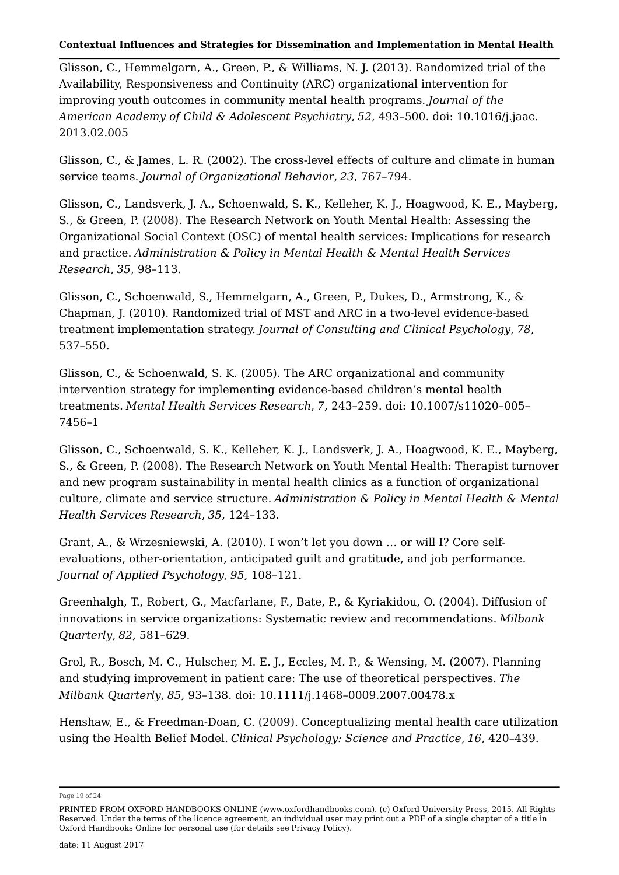Glisson, C., Hemmelgarn, A., Green, P., & Williams, N. J. (2013). Randomized trial of the Availability, Responsiveness and Continuity (ARC) organizational intervention for improving youth outcomes in community mental health programs. *Journal of the American Academy of Child & Adolescent Psychiatry*, *52*, 493–500. doi: 10.1016/j.jaac. 2013.02.005

Glisson, C., & James, L. R. (2002). The cross-level effects of culture and climate in human service teams. *Journal of Organizational Behavior*, *23*, 767–794.

Glisson, C., Landsverk, J. A., Schoenwald, S. K., Kelleher, K. J., Hoagwood, K. E., Mayberg, S., & Green, P. (2008). The Research Network on Youth Mental Health: Assessing the Organizational Social Context (OSC) of mental health services: Implications for research and practice. *Administration & Policy in Mental Health & Mental Health Services Research*, *35*, 98–113.

Glisson, C., Schoenwald, S., Hemmelgarn, A., Green, P., Dukes, D., Armstrong, K., & Chapman, J. (2010). Randomized trial of MST and ARC in a two-level evidence-based treatment implementation strategy. *Journal of Consulting and Clinical Psychology*, *78*, 537–550.

Glisson, C., & Schoenwald, S. K. (2005). The ARC organizational and community intervention strategy for implementing evidence-based children's mental health treatments. *Mental Health Services Research*, *7*, 243–259. doi: 10.1007/s11020–005– 7456–1

Glisson, C., Schoenwald, S. K., Kelleher, K. J., Landsverk, J. A., Hoagwood, K. E., Mayberg, S., & Green, P. (2008). The Research Network on Youth Mental Health: Therapist turnover and new program sustainability in mental health clinics as a function of organizational culture, climate and service structure. *Administration & Policy in Mental Health & Mental Health Services Research*, *35*, 124–133.

Grant, A., & Wrzesniewski, A. (2010). I won't let you down … or will I? Core selfevaluations, other-orientation, anticipated guilt and gratitude, and job performance. *Journal of Applied Psychology*, *95*, 108–121.

Greenhalgh, T., Robert, G., Macfarlane, F., Bate, P., & Kyriakidou, O. (2004). Diffusion of innovations in service organizations: Systematic review and recommendations. *Milbank Quarterly*, *82*, 581–629.

Grol, R., Bosch, M. C., Hulscher, M. E. J., Eccles, M. P., & Wensing, M. (2007). Planning and studying improvement in patient care: The use of theoretical perspectives. *The Milbank Quarterly*, *85*, 93–138. doi: 10.1111/j.1468–0009.2007.00478.x

Henshaw, E., & Freedman-Doan, C. (2009). Conceptualizing mental health care utilization using the Health Belief Model. *Clinical Psychology: Science and Practice*, *16*, 420–439.

Page 19 of 24

PRINTED FROM OXFORD HANDBOOKS ONLINE (www.oxfordhandbooks.com). (c) Oxford University Press, 2015. All Rights Reserved. Under the terms of the licence agreement, an individual user may print out a PDF of a single chapter of a title in Oxford Handbooks Online for personal use (for details see Privacy Policy).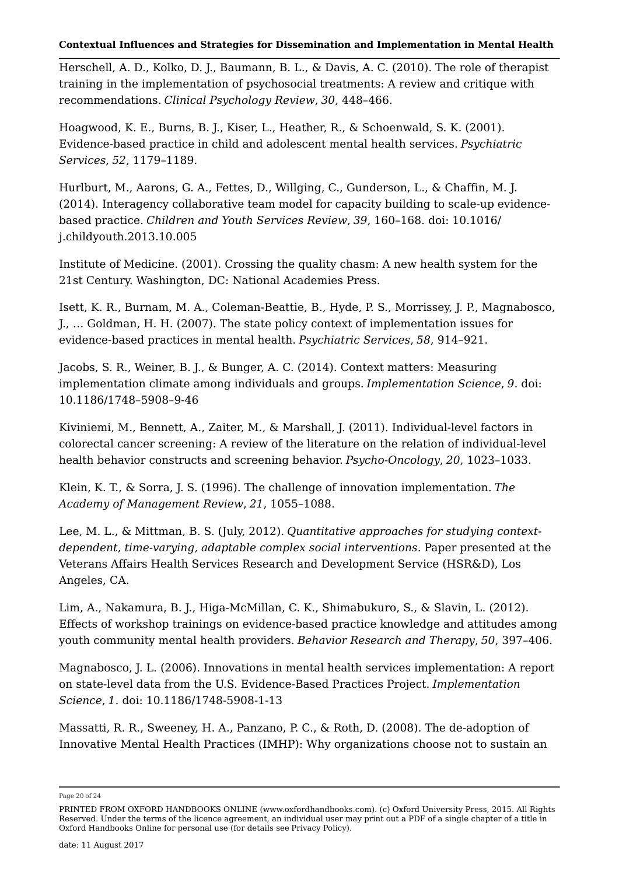Herschell, A. D., Kolko, D. J., Baumann, B. L., & Davis, A. C. (2010). The role of therapist training in the implementation of psychosocial treatments: A review and critique with recommendations. *Clinical Psychology Review*, *30*, 448–466.

Hoagwood, K. E., Burns, B. J., Kiser, L., Heather, R., & Schoenwald, S. K. (2001). Evidence-based practice in child and adolescent mental health services. *Psychiatric Services*, *52*, 1179–1189.

Hurlburt, M., Aarons, G. A., Fettes, D., Willging, C., Gunderson, L., & Chaffin, M. J. (2014). Interagency collaborative team model for capacity building to scale-up evidencebased practice. *Children and Youth Services Review*, *39*, 160–168. doi: 10.1016/ j.childyouth.2013.10.005

Institute of Medicine. (2001). Crossing the quality chasm: A new health system for the 21st Century. Washington, DC: National Academies Press.

Isett, K. R., Burnam, M. A., Coleman-Beattie, B., Hyde, P. S., Morrissey, J. P., Magnabosco, J., … Goldman, H. H. (2007). The state policy context of implementation issues for evidence-based practices in mental health. *Psychiatric Services*, *58*, 914–921.

Jacobs, S. R., Weiner, B. J., & Bunger, A. C. (2014). Context matters: Measuring implementation climate among individuals and groups. *Implementation Science*, *9*. doi: 10.1186/1748–5908–9-46

Kiviniemi, M., Bennett, A., Zaiter, M., & Marshall, J. (2011). Individual-level factors in colorectal cancer screening: A review of the literature on the relation of individual-level health behavior constructs and screening behavior. *Psycho-Oncology*, *20*, 1023–1033.

Klein, K. T., & Sorra, J. S. (1996). The challenge of innovation implementation. *The Academy of Management Review*, *21*, 1055–1088.

Lee, M. L., & Mittman, B. S. (July, 2012). *Quantitative approaches for studying contextdependent, time-varying, adaptable complex social interventions*. Paper presented at the Veterans Affairs Health Services Research and Development Service (HSR&D), Los Angeles, CA.

Lim, A., Nakamura, B. J., Higa-McMillan, C. K., Shimabukuro, S., & Slavin, L. (2012). Effects of workshop trainings on evidence-based practice knowledge and attitudes among youth community mental health providers. *Behavior Research and Therapy*, *50*, 397–406.

Magnabosco, J. L. (2006). Innovations in mental health services implementation: A report on state-level data from the U.S. Evidence-Based Practices Project. *Implementation Science*, *1*. doi: 10.1186/1748-5908-1-13

Massatti, R. R., Sweeney, H. A., Panzano, P. C., & Roth, D. (2008). The de-adoption of Innovative Mental Health Practices (IMHP): Why organizations choose not to sustain an

Page 20 of 24

PRINTED FROM OXFORD HANDBOOKS ONLINE (www.oxfordhandbooks.com). (c) Oxford University Press, 2015. All Rights Reserved. Under the terms of the licence agreement, an individual user may print out a PDF of a single chapter of a title in Oxford Handbooks Online for personal use (for details see Privacy Policy).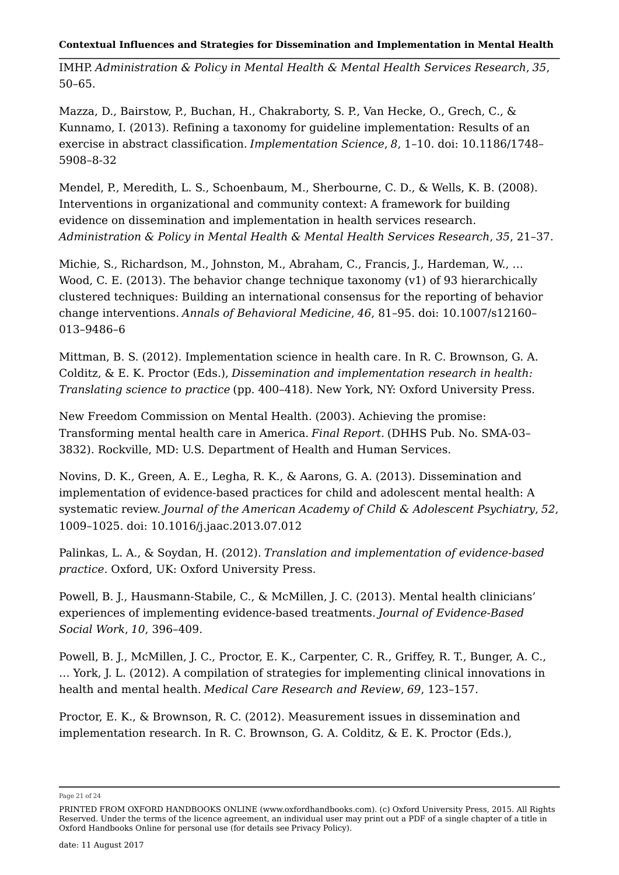IMHP. *Administration & Policy in Mental Health & Mental Health Services Research*, *35*, 50–65.

Mazza, D., Bairstow, P., Buchan, H., Chakraborty, S. P., Van Hecke, O., Grech, C., & Kunnamo, I. (2013). Refining a taxonomy for guideline implementation: Results of an exercise in abstract classification. *Implementation Science*, *8*, 1–10. doi: 10.1186/1748– 5908–8-32

Mendel, P., Meredith, L. S., Schoenbaum, M., Sherbourne, C. D., & Wells, K. B. (2008). Interventions in organizational and community context: A framework for building evidence on dissemination and implementation in health services research. *Administration & Policy in Mental Health & Mental Health Services Research*, *35*, 21–37.

Michie, S., Richardson, M., Johnston, M., Abraham, C., Francis, J., Hardeman, W., … Wood, C. E. (2013). The behavior change technique taxonomy  $(v1)$  of 93 hierarchically clustered techniques: Building an international consensus for the reporting of behavior change interventions. *Annals of Behavioral Medicine*, *46*, 81–95. doi: 10.1007/s12160– 013–9486–6

Mittman, B. S. (2012). Implementation science in health care. In R. C. Brownson, G. A. Colditz, & E. K. Proctor (Eds.), *Dissemination and implementation research in health: Translating science to practice* (pp. 400–418). New York, NY: Oxford University Press.

New Freedom Commission on Mental Health. (2003). Achieving the promise: Transforming mental health care in America. *Final Report.* (DHHS Pub. No. SMA-03– 3832). Rockville, MD: U.S. Department of Health and Human Services.

Novins, D. K., Green, A. E., Legha, R. K., & Aarons, G. A. (2013). Dissemination and implementation of evidence-based practices for child and adolescent mental health: A systematic review. *Journal of the American Academy of Child & Adolescent Psychiatry*, *52*, 1009–1025. doi: 10.1016/j.jaac.2013.07.012

Palinkas, L. A., & Soydan, H. (2012). *Translation and implementation of evidence-based practice*. Oxford, UK: Oxford University Press.

Powell, B. J., Hausmann-Stabile, C., & McMillen, J. C. (2013). Mental health clinicians' experiences of implementing evidence-based treatments. *Journal of Evidence-Based Social Work*, *10*, 396–409.

Powell, B. J., McMillen, J. C., Proctor, E. K., Carpenter, C. R., Griffey, R. T., Bunger, A. C., … York, J. L. (2012). A compilation of strategies for implementing clinical innovations in health and mental health. *Medical Care Research and Review*, *69*, 123–157.

Proctor, E. K., & Brownson, R. C. (2012). Measurement issues in dissemination and implementation research. In R. C. Brownson, G. A. Colditz, & E. K. Proctor (Eds.),

Page 21 of 24

PRINTED FROM OXFORD HANDBOOKS ONLINE (www.oxfordhandbooks.com). (c) Oxford University Press, 2015. All Rights Reserved. Under the terms of the licence agreement, an individual user may print out a PDF of a single chapter of a title in Oxford Handbooks Online for personal use (for details see Privacy Policy).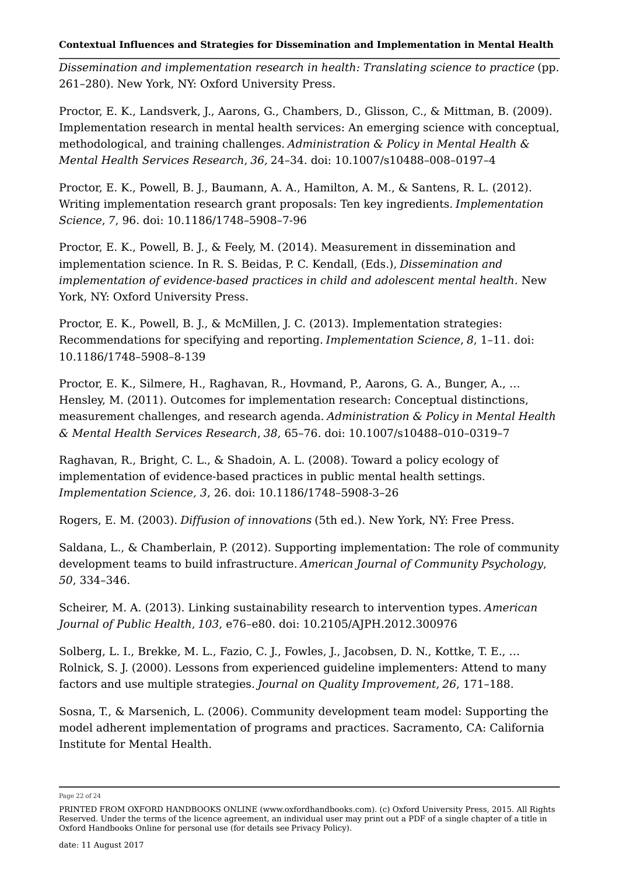*Dissemination and implementation research in health: Translating science to practice* (pp. 261–280). New York, NY: Oxford University Press.

Proctor, E. K., Landsverk, J., Aarons, G., Chambers, D., Glisson, C., & Mittman, B. (2009). Implementation research in mental health services: An emerging science with conceptual, methodological, and training challenges. *Administration & Policy in Mental Health & Mental Health Services Research*, *36,* 24–34. doi: 10.1007/s10488–008–0197–4

Proctor, E. K., Powell, B. J., Baumann, A. A., Hamilton, A. M., & Santens, R. L. (2012). Writing implementation research grant proposals: Ten key ingredients. *Implementation Science*, *7*, 96. doi: 10.1186/1748–5908–7-96

Proctor, E. K., Powell, B. J., & Feely, M. (2014). Measurement in dissemination and implementation science. In R. S. Beidas, P. C. Kendall, (Eds.), *Dissemination and implementation of evidence-based practices in child and adolescent mental health*. New York, NY: Oxford University Press.

Proctor, E. K., Powell, B. J., & McMillen, J. C. (2013). Implementation strategies: Recommendations for specifying and reporting. *Implementation Science*, *8*, 1–11. doi: 10.1186/1748–5908–8-139

Proctor, E. K., Silmere, H., Raghavan, R., Hovmand, P., Aarons, G. A., Bunger, A., … Hensley, M. (2011). Outcomes for implementation research: Conceptual distinctions, measurement challenges, and research agenda. *Administration & Policy in Mental Health & Mental Health Services Research*, *38*, 65–76. doi: 10.1007/s10488–010–0319–7

Raghavan, R., Bright, C. L., & Shadoin, A. L. (2008). Toward a policy ecology of implementation of evidence-based practices in public mental health settings. *Implementation Science, 3*, 26. doi: 10.1186/1748–5908-3–26

Rogers, E. M. (2003). *Diffusion of innovations* (5th ed.). New York, NY: Free Press.

Saldana, L., & Chamberlain, P. (2012). Supporting implementation: The role of community development teams to build infrastructure. *American Journal of Community Psychology*, *50*, 334–346.

Scheirer, M. A. (2013). Linking sustainability research to intervention types. *American Journal of Public Health*, *103*, e76–e80. doi: 10.2105/AJPH.2012.300976

Solberg, L. I., Brekke, M. L., Fazio, C. J., Fowles, J., Jacobsen, D. N., Kottke, T. E., … Rolnick, S. J. (2000). Lessons from experienced guideline implementers: Attend to many factors and use multiple strategies. *Journal on Quality Improvement*, *26*, 171–188.

Sosna, T., & Marsenich, L. (2006). Community development team model: Supporting the model adherent implementation of programs and practices. Sacramento, CA: California Institute for Mental Health.

Page 22 of 24

PRINTED FROM OXFORD HANDBOOKS ONLINE (www.oxfordhandbooks.com). (c) Oxford University Press, 2015. All Rights Reserved. Under the terms of the licence agreement, an individual user may print out a PDF of a single chapter of a title in Oxford Handbooks Online for personal use (for details see Privacy Policy).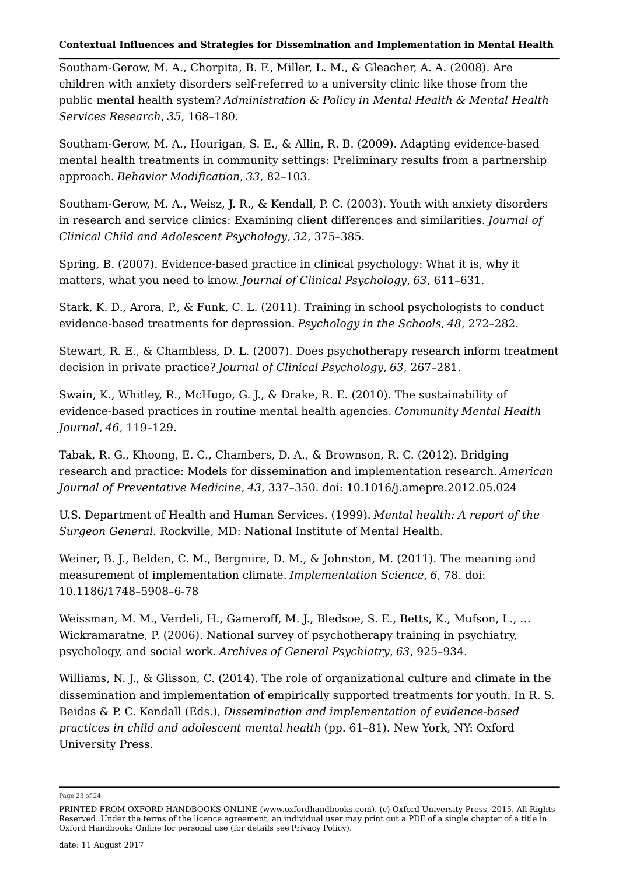Southam-Gerow, M. A., Chorpita, B. F., Miller, L. M., & Gleacher, A. A. (2008). Are children with anxiety disorders self-referred to a university clinic like those from the public mental health system? *Administration & Policy in Mental Health & Mental Health Services Research*, *35*, 168–180.

Southam-Gerow, M. A., Hourigan, S. E., & Allin, R. B. (2009). Adapting evidence-based mental health treatments in community settings: Preliminary results from a partnership approach. *Behavior Modification*, *33*, 82–103.

Southam-Gerow, M. A., Weisz, J. R., & Kendall, P. C. (2003). Youth with anxiety disorders in research and service clinics: Examining client differences and similarities. *Journal of Clinical Child and Adolescent Psychology*, *32*, 375–385.

Spring, B. (2007). Evidence-based practice in clinical psychology: What it is, why it matters, what you need to know. *Journal of Clinical Psychology*, *63*, 611–631.

Stark, K. D., Arora, P., & Funk, C. L. (2011). Training in school psychologists to conduct evidence-based treatments for depression. *Psychology in the Schools*, *48*, 272–282.

Stewart, R. E., & Chambless, D. L. (2007). Does psychotherapy research inform treatment decision in private practice? *Journal of Clinical Psychology*, *63*, 267–281.

Swain, K., Whitley, R., McHugo, G. J., & Drake, R. E. (2010). The sustainability of evidence-based practices in routine mental health agencies. *Community Mental Health Journal*, *46*, 119–129.

Tabak, R. G., Khoong, E. C., Chambers, D. A., & Brownson, R. C. (2012). Bridging research and practice: Models for dissemination and implementation research. *American Journal of Preventative Medicine*, *43*, 337–350. doi: 10.1016/j.amepre.2012.05.024

U.S. Department of Health and Human Services. (1999). *Mental health: A report of the Surgeon General*. Rockville, MD: National Institute of Mental Health.

Weiner, B. J., Belden, C. M., Bergmire, D. M., & Johnston, M. (2011). The meaning and measurement of implementation climate. *Implementation Science*, *6*, 78. doi: 10.1186/1748–5908–6-78

Weissman, M. M., Verdeli, H., Gameroff, M. J., Bledsoe, S. E., Betts, K., Mufson, L., … Wickramaratne, P. (2006). National survey of psychotherapy training in psychiatry, psychology, and social work. *Archives of General Psychiatry*, *63*, 925–934.

Williams, N. I., & Glisson, C. (2014). The role of organizational culture and climate in the dissemination and implementation of empirically supported treatments for youth. In R. S. Beidas & P. C. Kendall (Eds.), *Dissemination and implementation of evidence-based practices in child and adolescent mental health* (pp. 61–81). New York, NY: Oxford University Press.

Page 23 of 24

PRINTED FROM OXFORD HANDBOOKS ONLINE (www.oxfordhandbooks.com). (c) Oxford University Press, 2015. All Rights Reserved. Under the terms of the licence agreement, an individual user may print out a PDF of a single chapter of a title in Oxford Handbooks Online for personal use (for details see Privacy Policy).